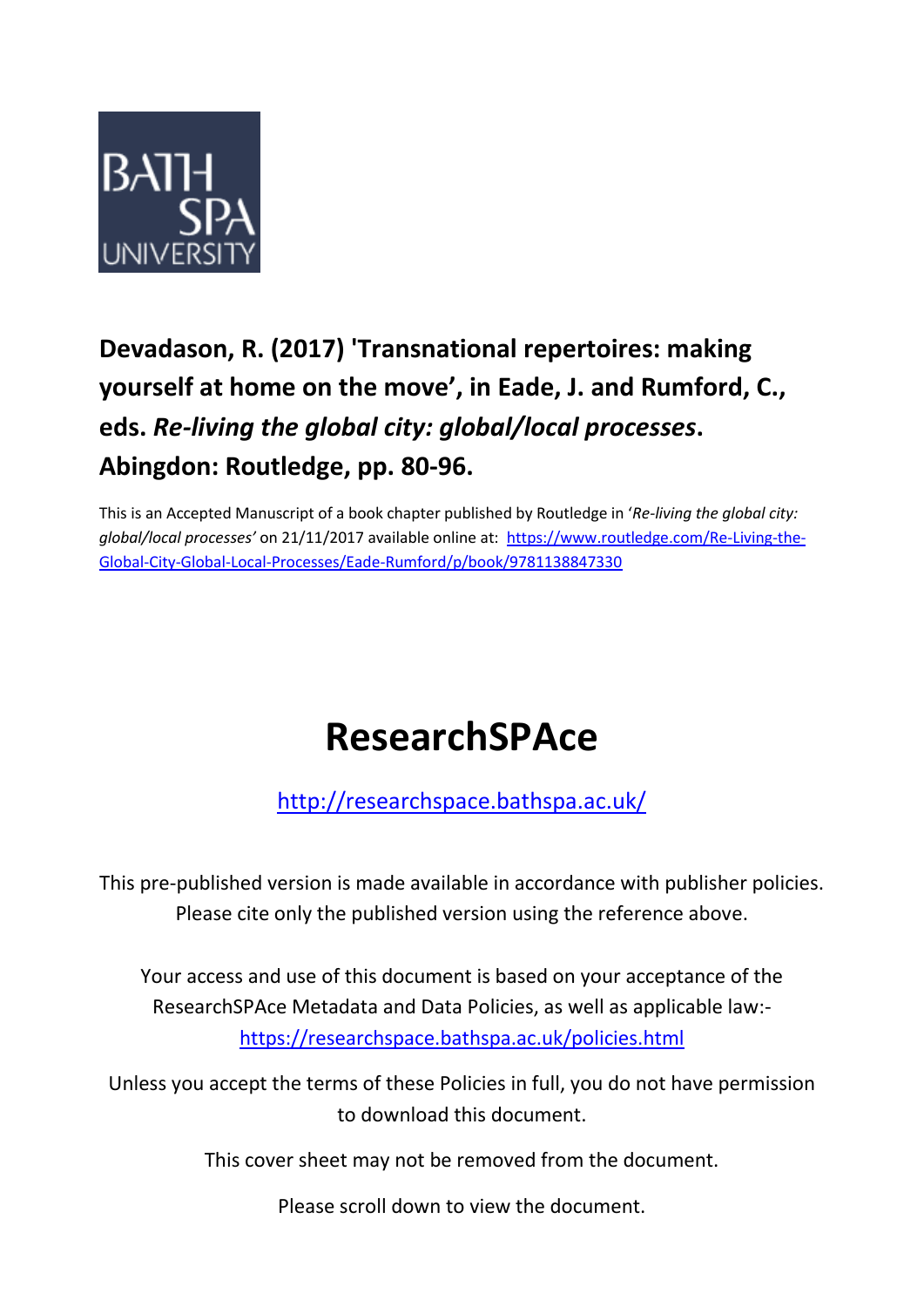

# **Devadason, R. (2017) 'Transnational repertoires: making yourself at home on the move', in Eade, J. and Rumford, C., eds.** *Re-living the global city: global/local processes***. Abingdon: Routledge, pp. 80-96.**

This is an Accepted Manuscript of a book chapter published by Routledge in '*Re-living the global city: global/local processes'* on 21/11/2017 available online at: [https://www.routledge.com/Re-Living-the-](https://www.routledge.com/Re-Living-the-Global-City-Global-Local-Processes/Eade-Rumford/p/book/9781138847330)[Global-City-Global-Local-Processes/Eade-Rumford/p/book/9781138847330](https://www.routledge.com/Re-Living-the-Global-City-Global-Local-Processes/Eade-Rumford/p/book/9781138847330)

# **ResearchSPAce**

<http://researchspace.bathspa.ac.uk/>

This pre-published version is made available in accordance with publisher policies. Please cite only the published version using the reference above.

Your access and use of this document is based on your acceptance of the ResearchSPAce Metadata and Data Policies, as well as applicable law: https://researchspace.bathspa.ac.uk/policies.html

Unless you accept the terms of these Policies in full, you do not have permission to download this document.

This cover sheet may not be removed from the document.

Please scroll down to view the document.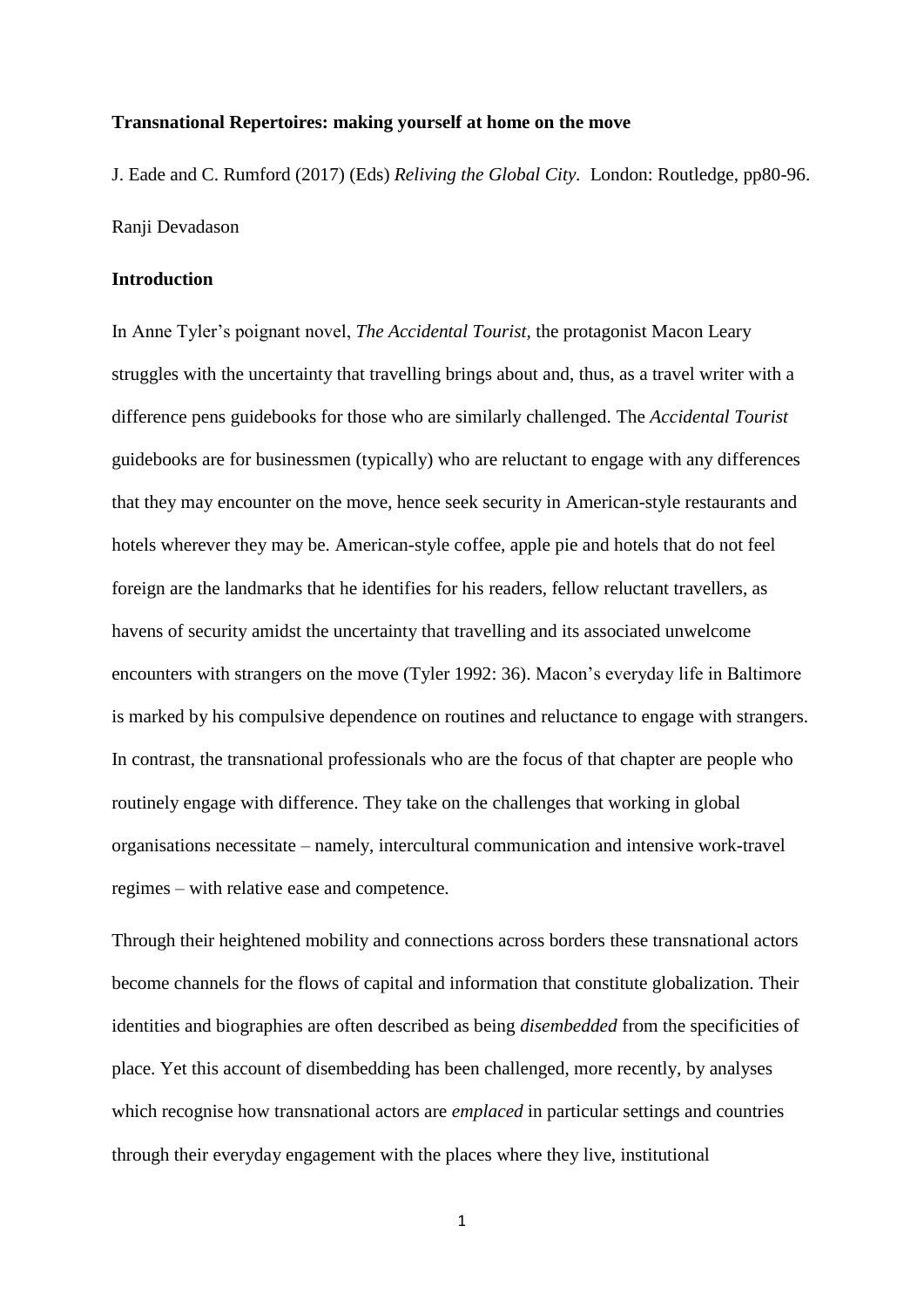#### **Transnational Repertoires: making yourself at home on the move**

J. Eade and C. Rumford (2017) (Eds) *Reliving the Global City.* London: Routledge, pp80-96. Ranji Devadason

#### **Introduction**

In Anne Tyler's poignant novel, *The Accidental Tourist,* the protagonist Macon Leary struggles with the uncertainty that travelling brings about and, thus, as a travel writer with a difference pens guidebooks for those who are similarly challenged. The *Accidental Tourist* guidebooks are for businessmen (typically) who are reluctant to engage with any differences that they may encounter on the move, hence seek security in American-style restaurants and hotels wherever they may be. American-style coffee, apple pie and hotels that do not feel foreign are the landmarks that he identifies for his readers, fellow reluctant travellers, as havens of security amidst the uncertainty that travelling and its associated unwelcome encounters with strangers on the move (Tyler 1992: 36). Macon's everyday life in Baltimore is marked by his compulsive dependence on routines and reluctance to engage with strangers. In contrast, the transnational professionals who are the focus of that chapter are people who routinely engage with difference. They take on the challenges that working in global organisations necessitate – namely, intercultural communication and intensive work-travel regimes – with relative ease and competence.

Through their heightened mobility and connections across borders these transnational actors become channels for the flows of capital and information that constitute globalization. Their identities and biographies are often described as being *disembedded* from the specificities of place. Yet this account of disembedding has been challenged, more recently, by analyses which recognise how transnational actors are *emplaced* in particular settings and countries through their everyday engagement with the places where they live, institutional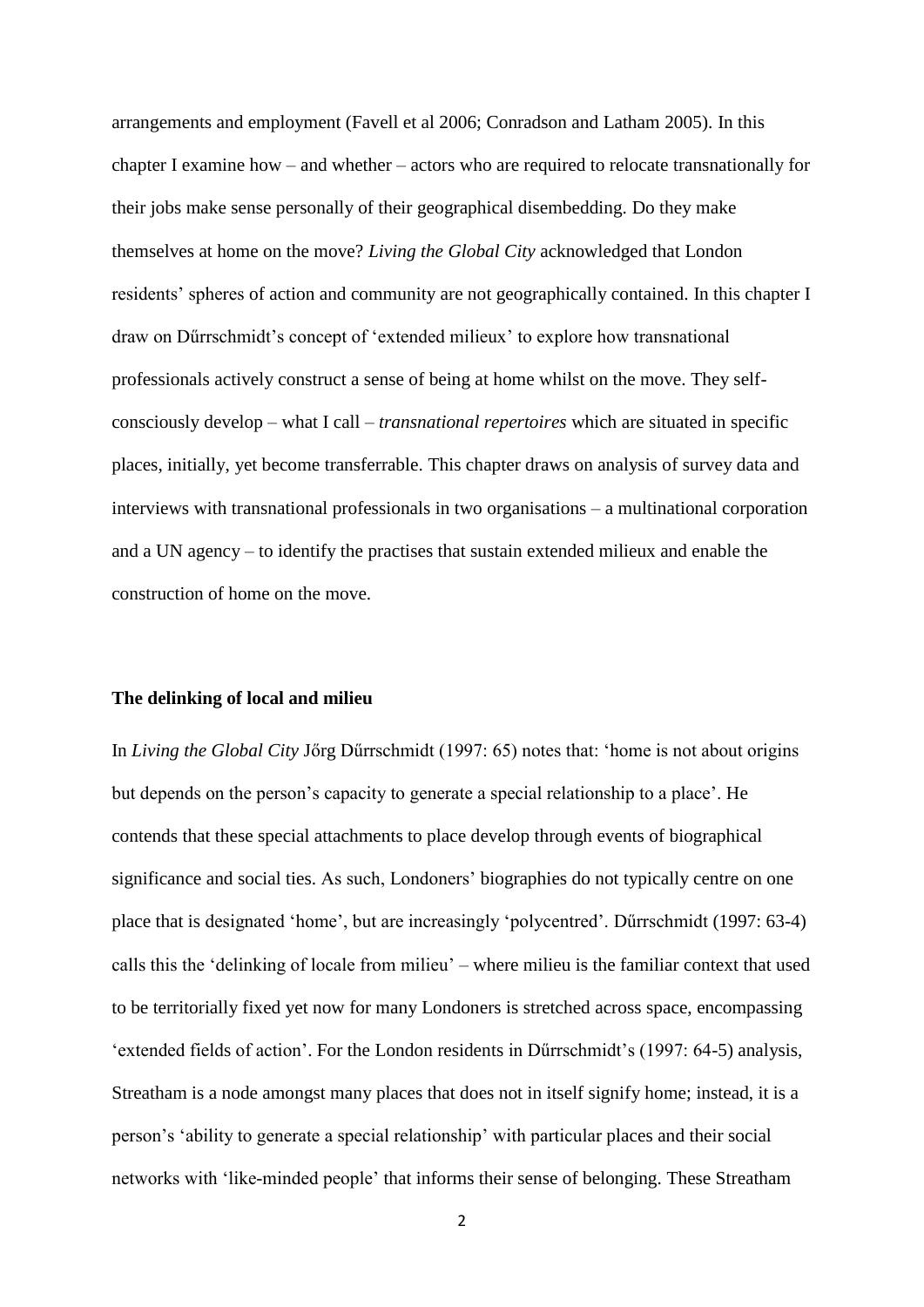arrangements and employment (Favell et al 2006; Conradson and Latham 2005). In this chapter I examine how – and whether – actors who are required to relocate transnationally for their jobs make sense personally of their geographical disembedding. Do they make themselves at home on the move? *Living the Global City* acknowledged that London residents' spheres of action and community are not geographically contained. In this chapter I draw on Dűrrschmidt's concept of 'extended milieux' to explore how transnational professionals actively construct a sense of being at home whilst on the move. They selfconsciously develop – what I call – *transnational repertoires* which are situated in specific places, initially, yet become transferrable. This chapter draws on analysis of survey data and interviews with transnational professionals in two organisations – a multinational corporation and a UN agency – to identify the practises that sustain extended milieux and enable the construction of home on the move.

#### **The delinking of local and milieu**

In *Living the Global City* Jőrg Dűrrschmidt (1997: 65) notes that: 'home is not about origins but depends on the person's capacity to generate a special relationship to a place'. He contends that these special attachments to place develop through events of biographical significance and social ties. As such, Londoners' biographies do not typically centre on one place that is designated 'home', but are increasingly 'polycentred'. Dűrrschmidt (1997: 63-4) calls this the 'delinking of locale from milieu' – where milieu is the familiar context that used to be territorially fixed yet now for many Londoners is stretched across space, encompassing 'extended fields of action'. For the London residents in Dűrrschmidt's (1997: 64-5) analysis, Streatham is a node amongst many places that does not in itself signify home; instead, it is a person's 'ability to generate a special relationship' with particular places and their social networks with 'like-minded people' that informs their sense of belonging. These Streatham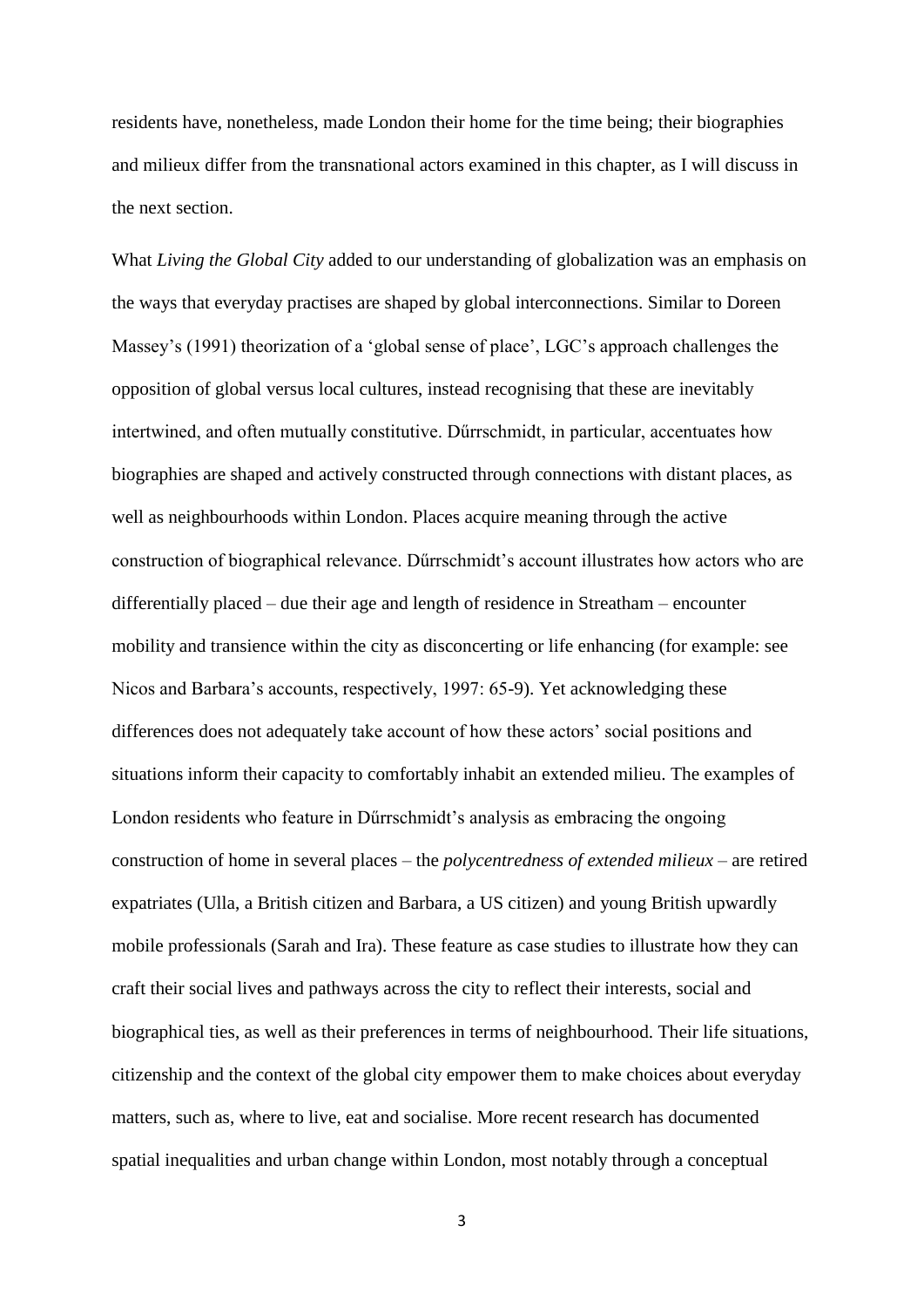residents have, nonetheless, made London their home for the time being; their biographies and milieux differ from the transnational actors examined in this chapter, as I will discuss in the next section.

What *Living the Global City* added to our understanding of globalization was an emphasis on the ways that everyday practises are shaped by global interconnections. Similar to Doreen Massey's (1991) theorization of a 'global sense of place', LGC's approach challenges the opposition of global versus local cultures, instead recognising that these are inevitably intertwined, and often mutually constitutive. Dűrrschmidt, in particular, accentuates how biographies are shaped and actively constructed through connections with distant places, as well as neighbourhoods within London. Places acquire meaning through the active construction of biographical relevance. Dűrrschmidt's account illustrates how actors who are differentially placed – due their age and length of residence in Streatham – encounter mobility and transience within the city as disconcerting or life enhancing (for example: see Nicos and Barbara's accounts, respectively, 1997: 65-9). Yet acknowledging these differences does not adequately take account of how these actors' social positions and situations inform their capacity to comfortably inhabit an extended milieu. The examples of London residents who feature in Dűrrschmidt's analysis as embracing the ongoing construction of home in several places – the *polycentredness of extended milieux –* are retired expatriates (Ulla, a British citizen and Barbara, a US citizen) and young British upwardly mobile professionals (Sarah and Ira). These feature as case studies to illustrate how they can craft their social lives and pathways across the city to reflect their interests, social and biographical ties, as well as their preferences in terms of neighbourhood. Their life situations, citizenship and the context of the global city empower them to make choices about everyday matters, such as, where to live, eat and socialise. More recent research has documented spatial inequalities and urban change within London, most notably through a conceptual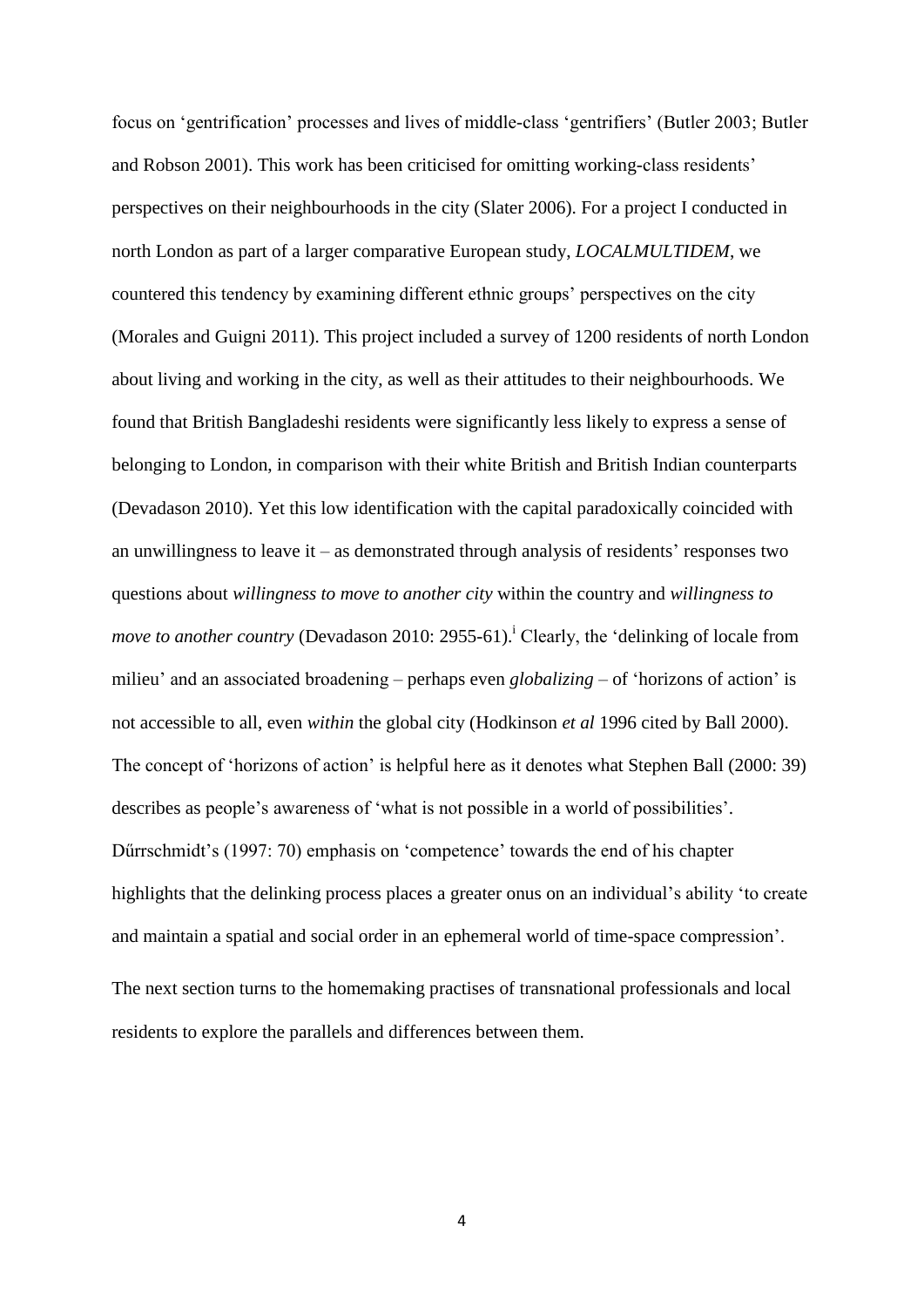focus on 'gentrification' processes and lives of middle-class 'gentrifiers' (Butler 2003; Butler and Robson 2001). This work has been criticised for omitting working-class residents' perspectives on their neighbourhoods in the city (Slater 2006). For a project I conducted in north London as part of a larger comparative European study, *LOCALMULTIDEM*, we countered this tendency by examining different ethnic groups' perspectives on the city (Morales and Guigni 2011). This project included a survey of 1200 residents of north London about living and working in the city, as well as their attitudes to their neighbourhoods. We found that British Bangladeshi residents were significantly less likely to express a sense of belonging to London, in comparison with their white British and British Indian counterparts (Devadason 2010). Yet this low identification with the capital paradoxically coincided with an unwillingness to leave it – as demonstrated through analysis of residents' responses two questions about *willingness to move to another city* within the country and *willingness to move to another country (Devadason 2010: 2955-61).*<sup>*i*</sup> Clearly, the 'delinking of locale from milieu' and an associated broadening – perhaps even *globalizing* – of 'horizons of action' is not accessible to all, even *within* the global city (Hodkinson *et al* 1996 cited by Ball 2000). The concept of 'horizons of action' is helpful here as it denotes what Stephen Ball (2000: 39) describes as people's awareness of 'what is not possible in a world of possibilities'. Dűrrschmidt's (1997: 70) emphasis on 'competence' towards the end of his chapter highlights that the delinking process places a greater onus on an individual's ability 'to create and maintain a spatial and social order in an ephemeral world of time-space compression'. The next section turns to the homemaking practises of transnational professionals and local

residents to explore the parallels and differences between them.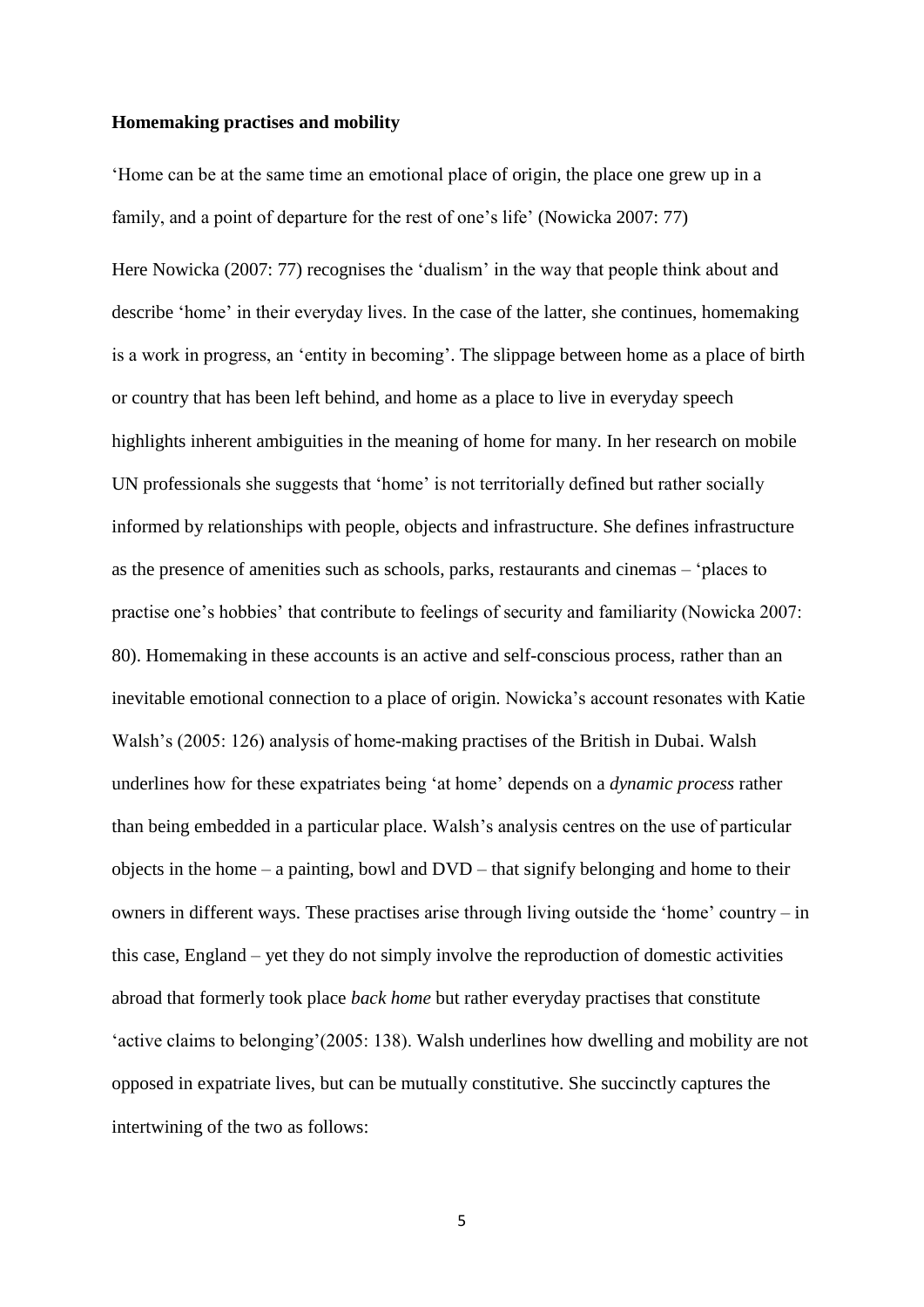#### **Homemaking practises and mobility**

'Home can be at the same time an emotional place of origin, the place one grew up in a family, and a point of departure for the rest of one's life' (Nowicka 2007: 77)

Here Nowicka (2007: 77) recognises the 'dualism' in the way that people think about and describe 'home' in their everyday lives. In the case of the latter, she continues, homemaking is a work in progress, an 'entity in becoming'. The slippage between home as a place of birth or country that has been left behind, and home as a place to live in everyday speech highlights inherent ambiguities in the meaning of home for many. In her research on mobile UN professionals she suggests that 'home' is not territorially defined but rather socially informed by relationships with people, objects and infrastructure. She defines infrastructure as the presence of amenities such as schools, parks, restaurants and cinemas – 'places to practise one's hobbies' that contribute to feelings of security and familiarity (Nowicka 2007: 80). Homemaking in these accounts is an active and self-conscious process, rather than an inevitable emotional connection to a place of origin. Nowicka's account resonates with Katie Walsh's (2005: 126) analysis of home-making practises of the British in Dubai. Walsh underlines how for these expatriates being 'at home' depends on a *dynamic process* rather than being embedded in a particular place. Walsh's analysis centres on the use of particular objects in the home – a painting, bowl and DVD – that signify belonging and home to their owners in different ways. These practises arise through living outside the 'home' country – in this case, England – yet they do not simply involve the reproduction of domestic activities abroad that formerly took place *back home* but rather everyday practises that constitute 'active claims to belonging'(2005: 138). Walsh underlines how dwelling and mobility are not opposed in expatriate lives, but can be mutually constitutive. She succinctly captures the intertwining of the two as follows: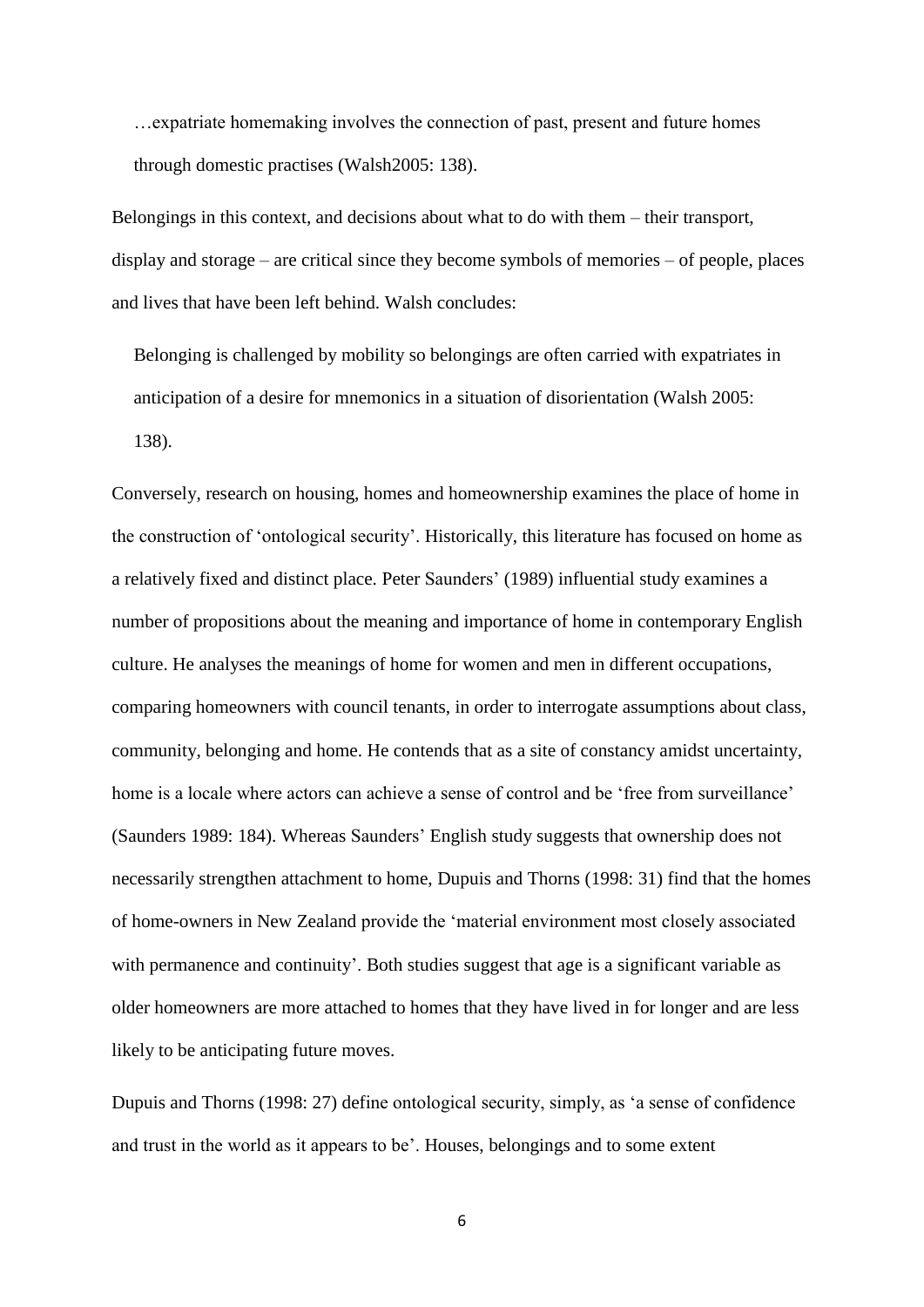…expatriate homemaking involves the connection of past, present and future homes through domestic practises (Walsh2005: 138).

Belongings in this context, and decisions about what to do with them – their transport, display and storage – are critical since they become symbols of memories – of people, places and lives that have been left behind. Walsh concludes:

Belonging is challenged by mobility so belongings are often carried with expatriates in anticipation of a desire for mnemonics in a situation of disorientation (Walsh 2005: 138).

Conversely, research on housing, homes and homeownership examines the place of home in the construction of 'ontological security'. Historically, this literature has focused on home as a relatively fixed and distinct place. Peter Saunders' (1989) influential study examines a number of propositions about the meaning and importance of home in contemporary English culture. He analyses the meanings of home for women and men in different occupations, comparing homeowners with council tenants, in order to interrogate assumptions about class, community, belonging and home. He contends that as a site of constancy amidst uncertainty, home is a locale where actors can achieve a sense of control and be 'free from surveillance' (Saunders 1989: 184). Whereas Saunders' English study suggests that ownership does not necessarily strengthen attachment to home, Dupuis and Thorns (1998: 31) find that the homes of home-owners in New Zealand provide the 'material environment most closely associated with permanence and continuity'. Both studies suggest that age is a significant variable as older homeowners are more attached to homes that they have lived in for longer and are less likely to be anticipating future moves.

Dupuis and Thorns (1998: 27) define ontological security, simply, as 'a sense of confidence and trust in the world as it appears to be'. Houses, belongings and to some extent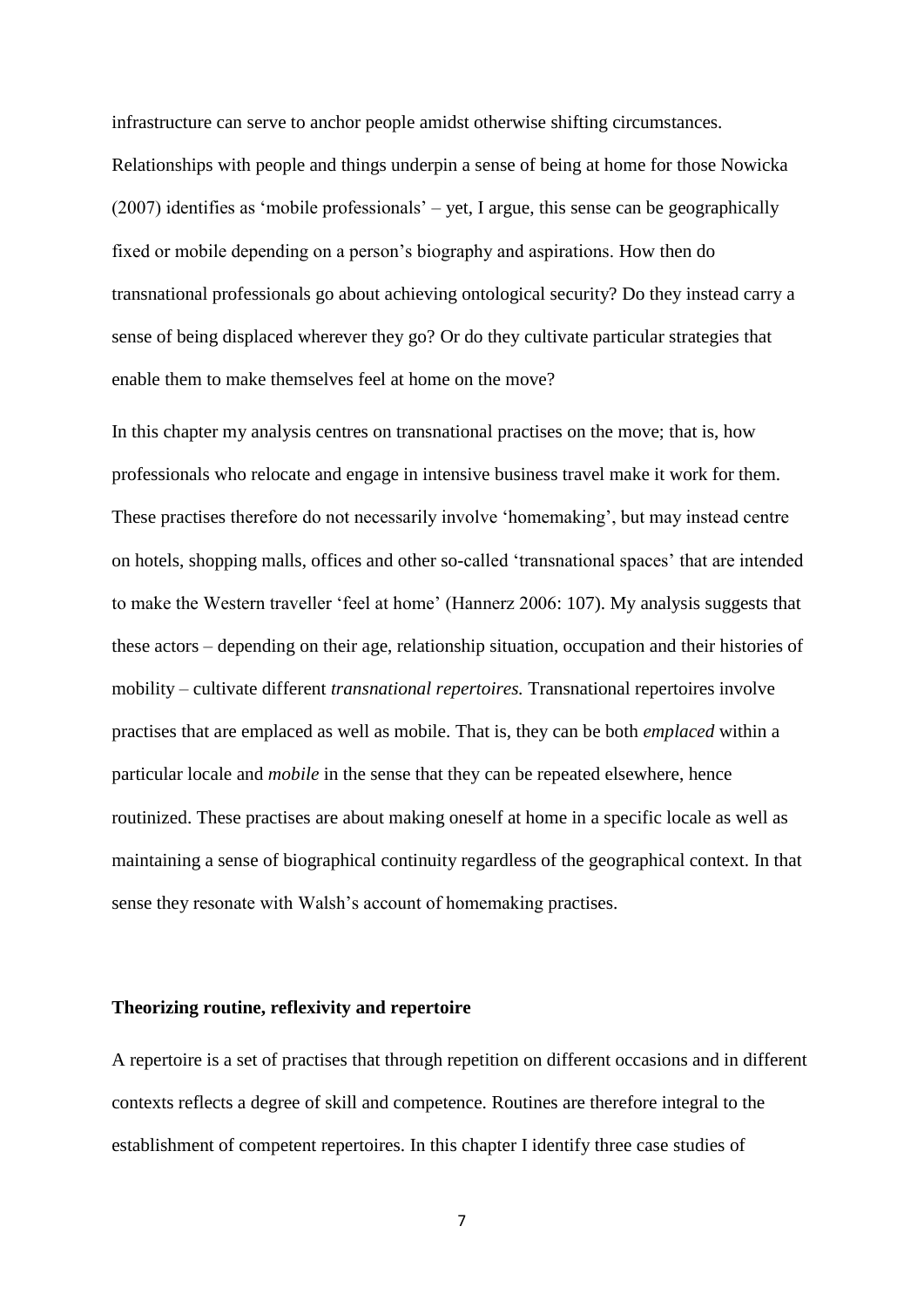infrastructure can serve to anchor people amidst otherwise shifting circumstances. Relationships with people and things underpin a sense of being at home for those Nowicka (2007) identifies as 'mobile professionals' – yet, I argue, this sense can be geographically fixed or mobile depending on a person's biography and aspirations. How then do transnational professionals go about achieving ontological security? Do they instead carry a sense of being displaced wherever they go? Or do they cultivate particular strategies that enable them to make themselves feel at home on the move?

In this chapter my analysis centres on transnational practises on the move; that is, how professionals who relocate and engage in intensive business travel make it work for them. These practises therefore do not necessarily involve 'homemaking', but may instead centre on hotels, shopping malls, offices and other so-called 'transnational spaces' that are intended to make the Western traveller 'feel at home' (Hannerz 2006: 107). My analysis suggests that these actors – depending on their age, relationship situation, occupation and their histories of mobility – cultivate different *transnational repertoires.* Transnational repertoires involve practises that are emplaced as well as mobile. That is, they can be both *emplaced* within a particular locale and *mobile* in the sense that they can be repeated elsewhere, hence routinized. These practises are about making oneself at home in a specific locale as well as maintaining a sense of biographical continuity regardless of the geographical context. In that sense they resonate with Walsh's account of homemaking practises.

#### **Theorizing routine, reflexivity and repertoire**

A repertoire is a set of practises that through repetition on different occasions and in different contexts reflects a degree of skill and competence. Routines are therefore integral to the establishment of competent repertoires. In this chapter I identify three case studies of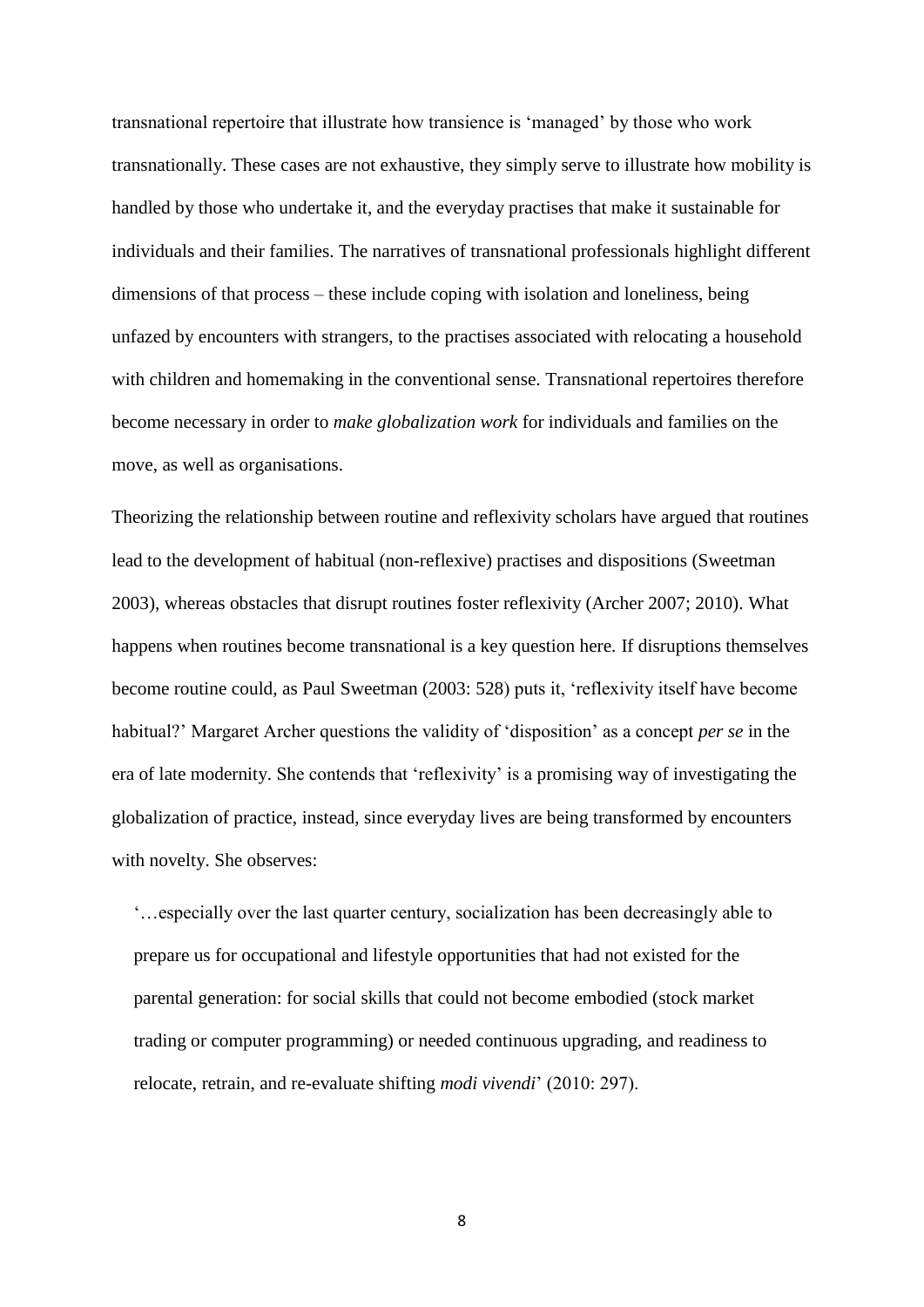transnational repertoire that illustrate how transience is 'managed' by those who work transnationally. These cases are not exhaustive, they simply serve to illustrate how mobility is handled by those who undertake it, and the everyday practises that make it sustainable for individuals and their families. The narratives of transnational professionals highlight different dimensions of that process – these include coping with isolation and loneliness, being unfazed by encounters with strangers, to the practises associated with relocating a household with children and homemaking in the conventional sense. Transnational repertoires therefore become necessary in order to *make globalization work* for individuals and families on the move, as well as organisations.

Theorizing the relationship between routine and reflexivity scholars have argued that routines lead to the development of habitual (non-reflexive) practises and dispositions (Sweetman 2003), whereas obstacles that disrupt routines foster reflexivity (Archer 2007; 2010). What happens when routines become transnational is a key question here. If disruptions themselves become routine could, as Paul Sweetman (2003: 528) puts it, 'reflexivity itself have become habitual?' Margaret Archer questions the validity of 'disposition' as a concept *per se* in the era of late modernity. She contends that 'reflexivity' is a promising way of investigating the globalization of practice, instead, since everyday lives are being transformed by encounters with novelty. She observes:

'…especially over the last quarter century, socialization has been decreasingly able to prepare us for occupational and lifestyle opportunities that had not existed for the parental generation: for social skills that could not become embodied (stock market trading or computer programming) or needed continuous upgrading, and readiness to relocate, retrain, and re-evaluate shifting *modi vivendi*' (2010: 297).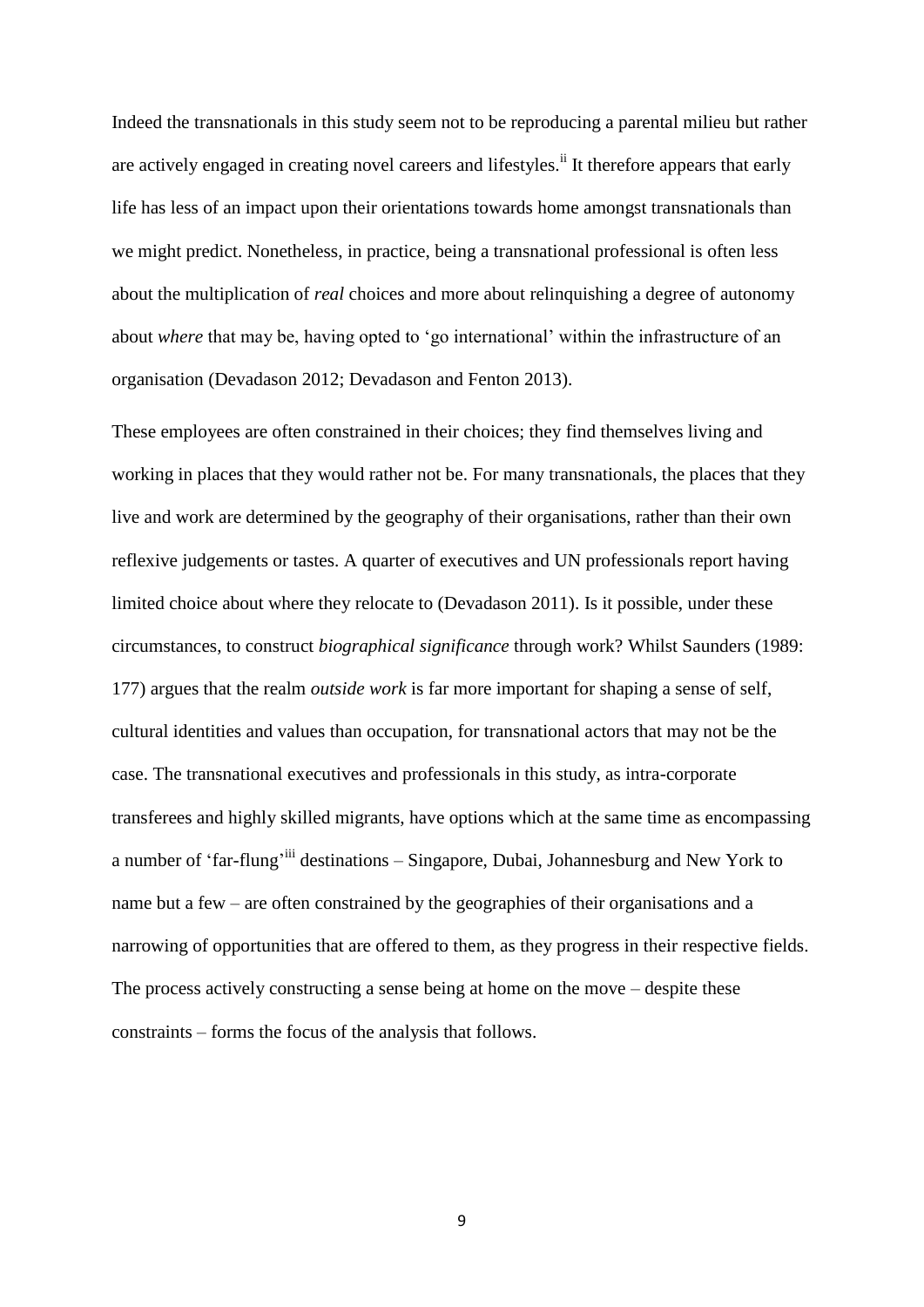Indeed the transnationals in this study seem not to be reproducing a parental milieu but rather are actively engaged in creating novel careers and lifestyles.<sup>ii</sup> It therefore appears that early life has less of an impact upon their orientations towards home amongst transnationals than we might predict. Nonetheless, in practice, being a transnational professional is often less about the multiplication of *real* choices and more about relinquishing a degree of autonomy about *where* that may be, having opted to 'go international' within the infrastructure of an organisation (Devadason 2012; Devadason and Fenton 2013).

These employees are often constrained in their choices; they find themselves living and working in places that they would rather not be. For many transnationals, the places that they live and work are determined by the geography of their organisations, rather than their own reflexive judgements or tastes. A quarter of executives and UN professionals report having limited choice about where they relocate to (Devadason 2011). Is it possible, under these circumstances, to construct *biographical significance* through work? Whilst Saunders (1989: 177) argues that the realm *outside work* is far more important for shaping a sense of self, cultural identities and values than occupation, for transnational actors that may not be the case. The transnational executives and professionals in this study, as intra-corporate transferees and highly skilled migrants, have options which at the same time as encompassing a number of 'far-flung'<sup>iii</sup> destinations – Singapore, Dubai, Johannesburg and New York to name but a few – are often constrained by the geographies of their organisations and a narrowing of opportunities that are offered to them, as they progress in their respective fields. The process actively constructing a sense being at home on the move – despite these constraints – forms the focus of the analysis that follows.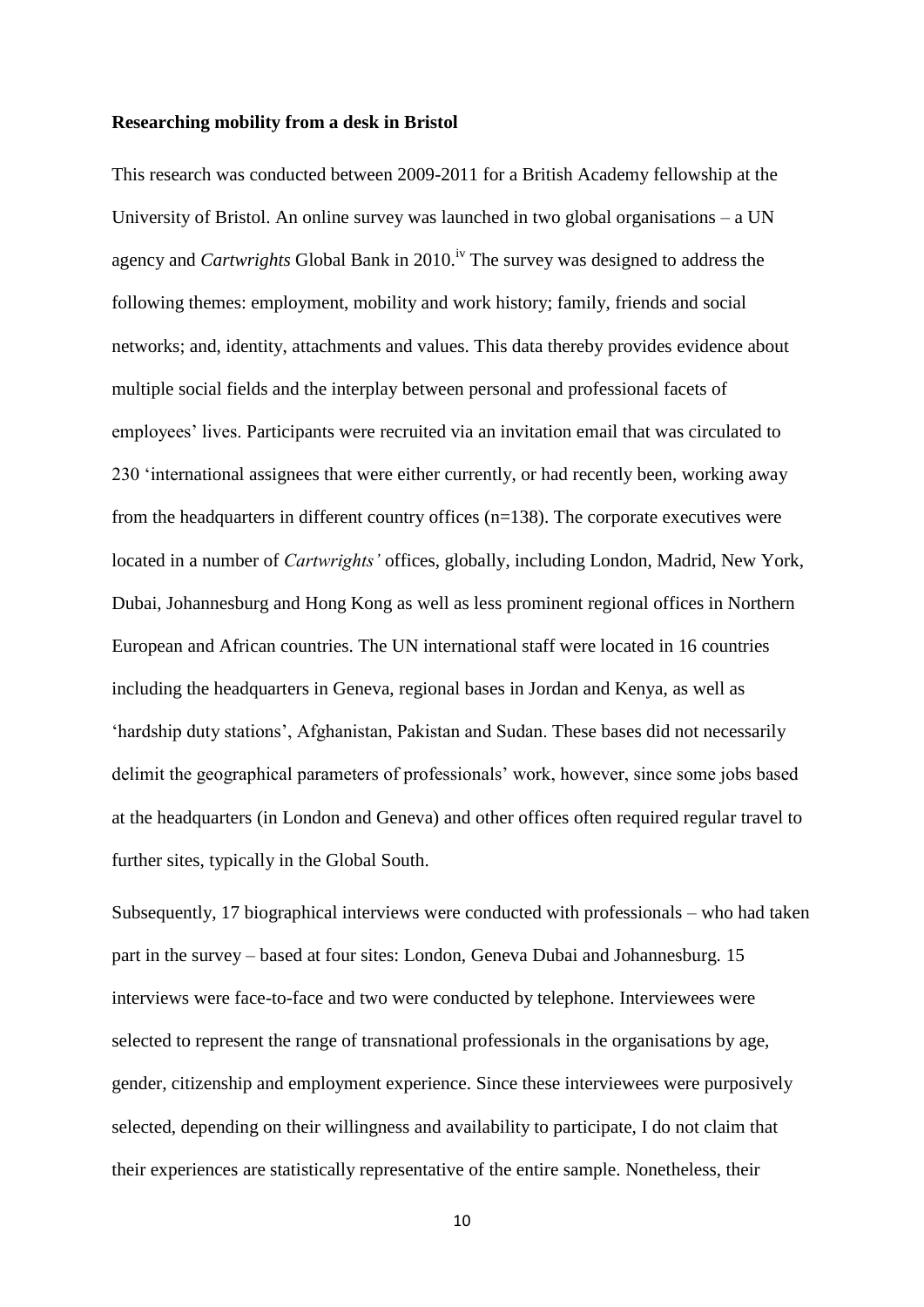#### **Researching mobility from a desk in Bristol**

This research was conducted between 2009-2011 for a British Academy fellowship at the University of Bristol. An online survey was launched in two global organisations  $-$  a UN agency and *Cartwrights* Global Bank in 2010.<sup>iv</sup> The survey was designed to address the following themes: employment, mobility and work history; family, friends and social networks; and, identity, attachments and values. This data thereby provides evidence about multiple social fields and the interplay between personal and professional facets of employees' lives. Participants were recruited via an invitation email that was circulated to 230 'international assignees that were either currently, or had recently been, working away from the headquarters in different country offices (n=138). The corporate executives were located in a number of *Cartwrights'* offices, globally, including London, Madrid, New York, Dubai, Johannesburg and Hong Kong as well as less prominent regional offices in Northern European and African countries. The UN international staff were located in 16 countries including the headquarters in Geneva, regional bases in Jordan and Kenya, as well as 'hardship duty stations', Afghanistan, Pakistan and Sudan. These bases did not necessarily delimit the geographical parameters of professionals' work, however, since some jobs based at the headquarters (in London and Geneva) and other offices often required regular travel to further sites, typically in the Global South.

Subsequently, 17 biographical interviews were conducted with professionals – who had taken part in the survey – based at four sites: London, Geneva Dubai and Johannesburg. 15 interviews were face-to-face and two were conducted by telephone. Interviewees were selected to represent the range of transnational professionals in the organisations by age, gender, citizenship and employment experience. Since these interviewees were purposively selected, depending on their willingness and availability to participate, I do not claim that their experiences are statistically representative of the entire sample. Nonetheless, their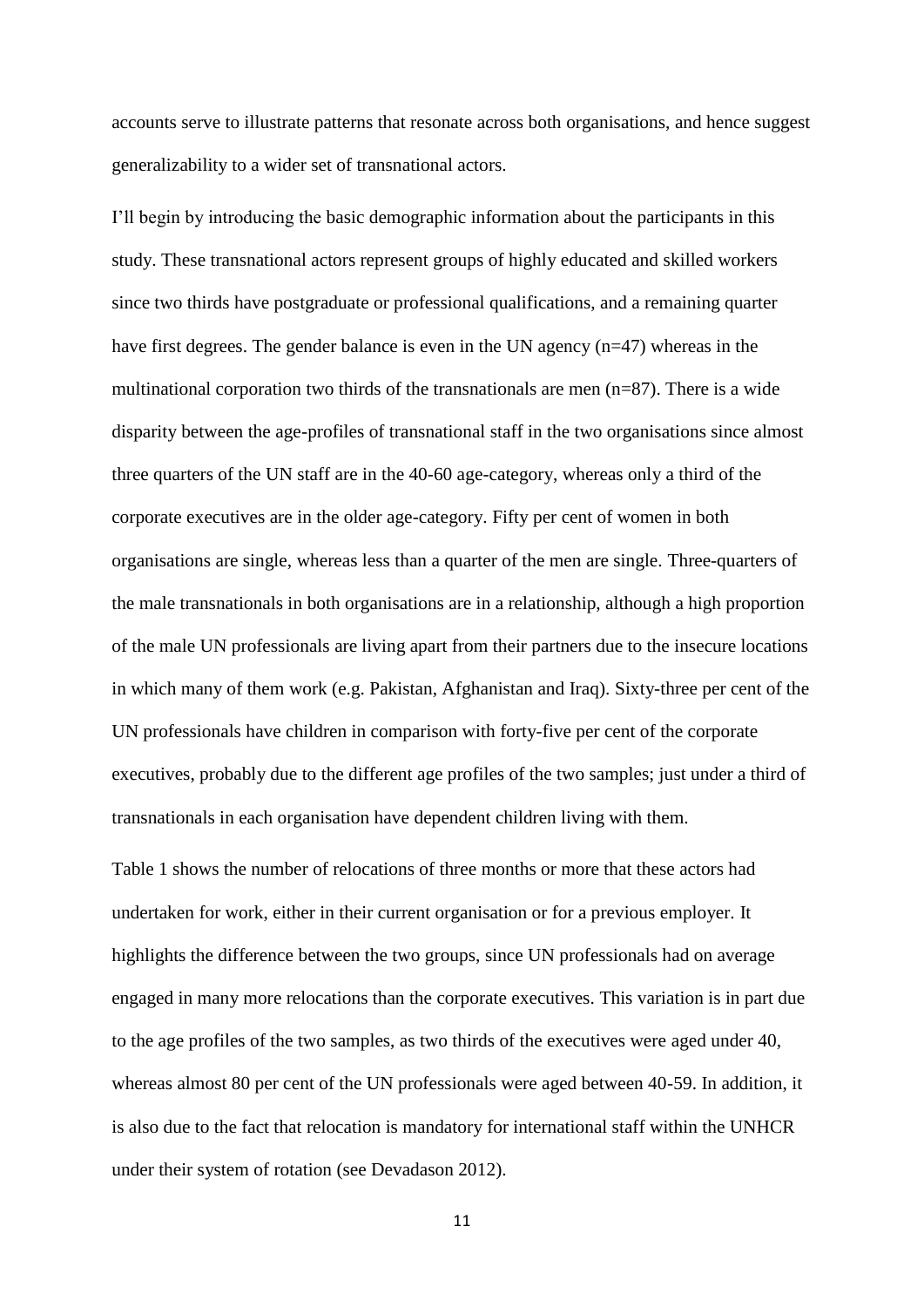accounts serve to illustrate patterns that resonate across both organisations, and hence suggest generalizability to a wider set of transnational actors.

I'll begin by introducing the basic demographic information about the participants in this study. These transnational actors represent groups of highly educated and skilled workers since two thirds have postgraduate or professional qualifications, and a remaining quarter have first degrees. The gender balance is even in the UN agency (n=47) whereas in the multinational corporation two thirds of the transnationals are men (n=87). There is a wide disparity between the age-profiles of transnational staff in the two organisations since almost three quarters of the UN staff are in the 40-60 age-category, whereas only a third of the corporate executives are in the older age-category. Fifty per cent of women in both organisations are single, whereas less than a quarter of the men are single. Three-quarters of the male transnationals in both organisations are in a relationship, although a high proportion of the male UN professionals are living apart from their partners due to the insecure locations in which many of them work (e.g. Pakistan, Afghanistan and Iraq). Sixty-three per cent of the UN professionals have children in comparison with forty-five per cent of the corporate executives, probably due to the different age profiles of the two samples; just under a third of transnationals in each organisation have dependent children living with them.

Table 1 shows the number of relocations of three months or more that these actors had undertaken for work, either in their current organisation or for a previous employer. It highlights the difference between the two groups, since UN professionals had on average engaged in many more relocations than the corporate executives. This variation is in part due to the age profiles of the two samples, as two thirds of the executives were aged under 40, whereas almost 80 per cent of the UN professionals were aged between 40-59. In addition, it is also due to the fact that relocation is mandatory for international staff within the UNHCR under their system of rotation (see Devadason 2012).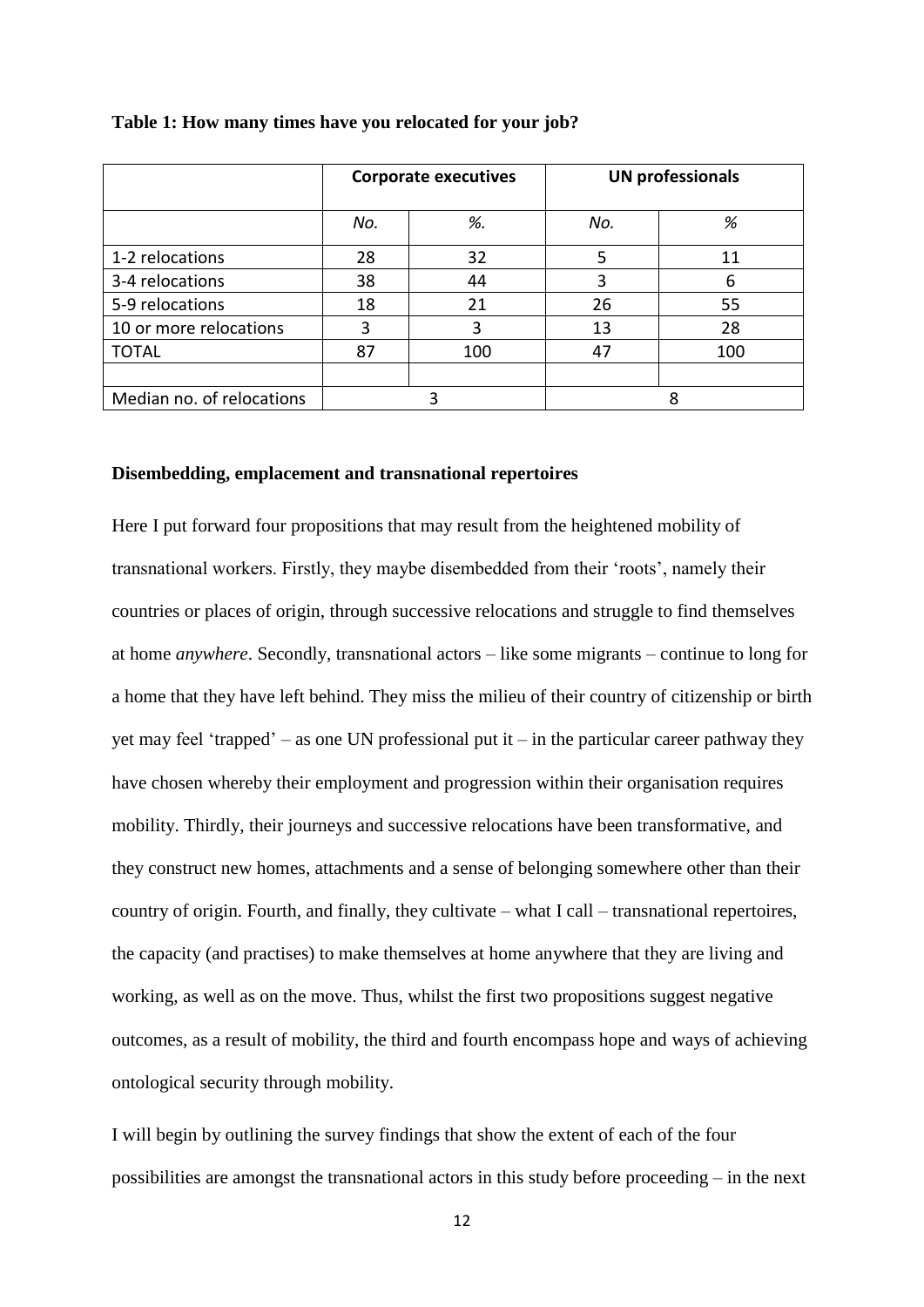|                           | <b>Corporate executives</b> |     | <b>UN professionals</b> |     |  |
|---------------------------|-----------------------------|-----|-------------------------|-----|--|
|                           | No.                         | %.  | No.                     | %   |  |
| 1-2 relocations           | 28                          | 32  | 5                       | 11  |  |
| 3-4 relocations           | 38                          | 44  | 3                       | 6   |  |
| 5-9 relocations           | 18                          | 21  | 26                      | 55  |  |
| 10 or more relocations    | 3                           | 3   | 13                      | 28  |  |
| <b>TOTAL</b>              | 87                          | 100 | 47                      | 100 |  |
|                           |                             |     |                         |     |  |
| Median no. of relocations |                             |     |                         |     |  |

#### **Table 1: How many times have you relocated for your job?**

### **Disembedding, emplacement and transnational repertoires**

Here I put forward four propositions that may result from the heightened mobility of transnational workers. Firstly, they maybe disembedded from their 'roots', namely their countries or places of origin, through successive relocations and struggle to find themselves at home *anywhere*. Secondly, transnational actors – like some migrants – continue to long for a home that they have left behind. They miss the milieu of their country of citizenship or birth yet may feel 'trapped' – as one UN professional put it – in the particular career pathway they have chosen whereby their employment and progression within their organisation requires mobility. Thirdly, their journeys and successive relocations have been transformative, and they construct new homes, attachments and a sense of belonging somewhere other than their country of origin. Fourth, and finally, they cultivate – what I call – transnational repertoires, the capacity (and practises) to make themselves at home anywhere that they are living and working, as well as on the move. Thus, whilst the first two propositions suggest negative outcomes, as a result of mobility, the third and fourth encompass hope and ways of achieving ontological security through mobility.

I will begin by outlining the survey findings that show the extent of each of the four possibilities are amongst the transnational actors in this study before proceeding – in the next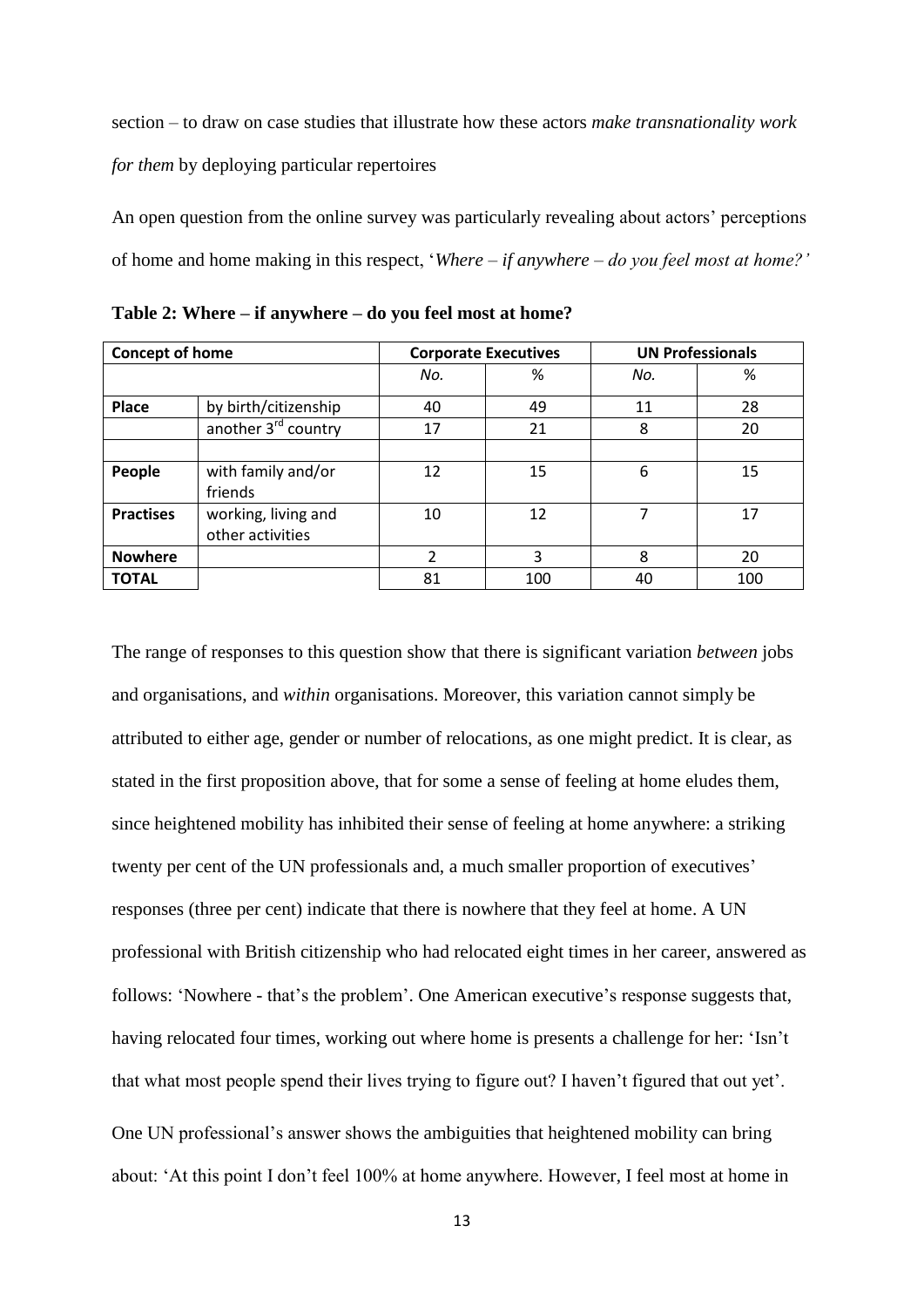section – to draw on case studies that illustrate how these actors *make transnationality work for them* by deploying particular repertoires

An open question from the online survey was particularly revealing about actors' perceptions of home and home making in this respect, '*Where – if anywhere – do you feel most at home?'*

| <b>Concept of home</b> |                                         | <b>Corporate Executives</b> |     | <b>UN Professionals</b> |     |
|------------------------|-----------------------------------------|-----------------------------|-----|-------------------------|-----|
|                        |                                         | No.                         | %   | No.                     | %   |
| <b>Place</b>           | by birth/citizenship                    | 40                          | 49  | 11                      | 28  |
|                        | another 3 <sup>rd</sup> country         | 17                          | 21  | 8                       | 20  |
|                        |                                         |                             |     |                         |     |
| People                 | with family and/or<br>friends           | 12                          | 15  | 6                       | 15  |
| <b>Practises</b>       | working, living and<br>other activities | 10                          | 12  | 7                       | 17  |
| <b>Nowhere</b>         |                                         | $\overline{2}$              | 3   | 8                       | 20  |
| <b>TOTAL</b>           |                                         | 81                          | 100 | 40                      | 100 |

**Table 2: Where – if anywhere – do you feel most at home?** 

The range of responses to this question show that there is significant variation *between* jobs and organisations, and *within* organisations. Moreover, this variation cannot simply be attributed to either age, gender or number of relocations, as one might predict. It is clear, as stated in the first proposition above, that for some a sense of feeling at home eludes them, since heightened mobility has inhibited their sense of feeling at home anywhere: a striking twenty per cent of the UN professionals and, a much smaller proportion of executives' responses (three per cent) indicate that there is nowhere that they feel at home. A UN professional with British citizenship who had relocated eight times in her career, answered as follows: 'Nowhere - that's the problem'. One American executive's response suggests that, having relocated four times, working out where home is presents a challenge for her: 'Isn't that what most people spend their lives trying to figure out? I haven't figured that out yet'. One UN professional's answer shows the ambiguities that heightened mobility can bring about: 'At this point I don't feel 100% at home anywhere. However, I feel most at home in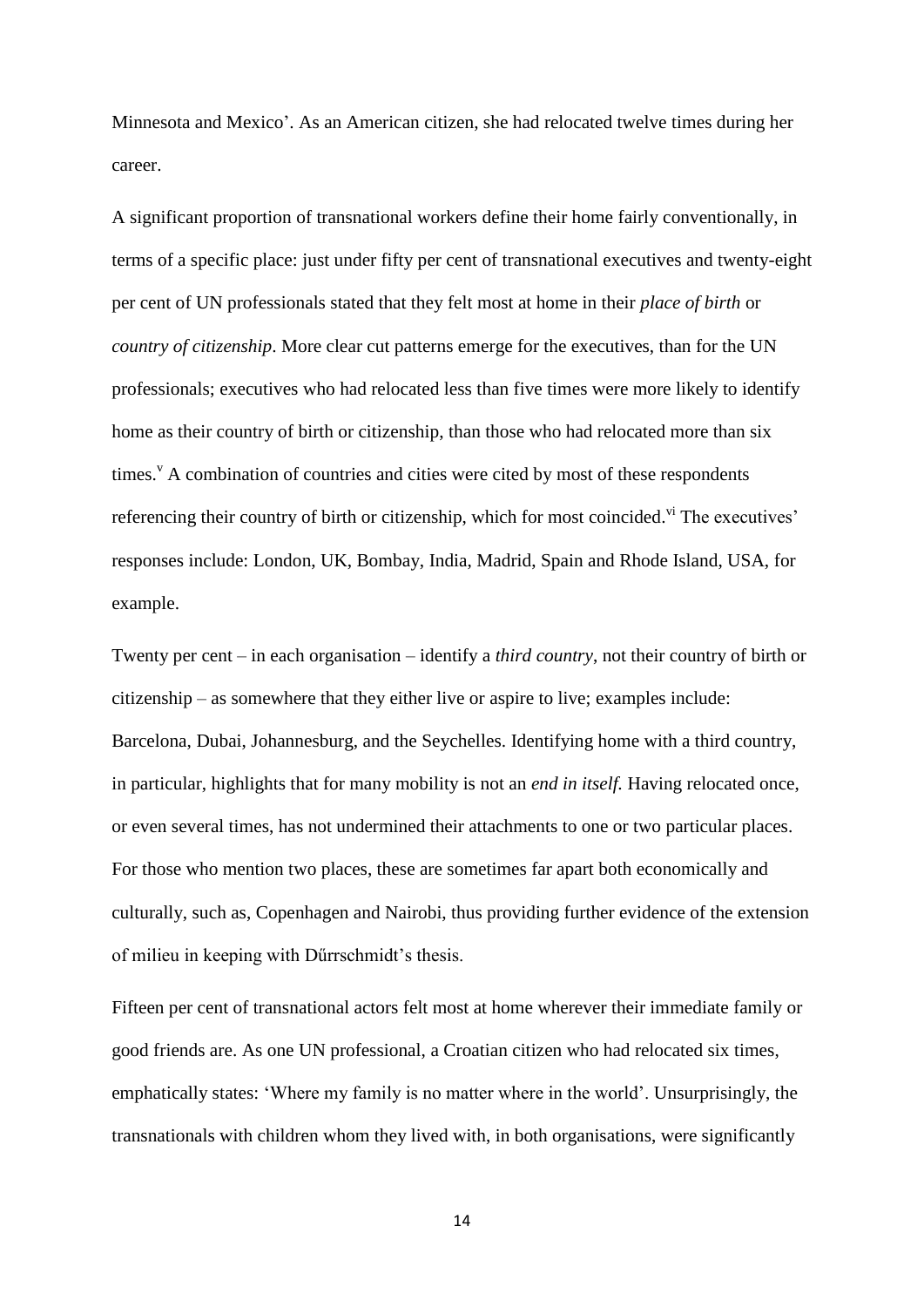Minnesota and Mexico'. As an American citizen, she had relocated twelve times during her career.

A significant proportion of transnational workers define their home fairly conventionally, in terms of a specific place: just under fifty per cent of transnational executives and twenty-eight per cent of UN professionals stated that they felt most at home in their *place of birth* or *country of citizenship*. More clear cut patterns emerge for the executives, than for the UN professionals; executives who had relocated less than five times were more likely to identify home as their country of birth or citizenship, than those who had relocated more than six times.<sup>v</sup> A combination of countries and cities were cited by most of these respondents referencing their country of birth or citizenship, which for most coincided.<sup>vi</sup> The executives' responses include: London, UK, Bombay, India, Madrid, Spain and Rhode Island, USA, for example.

Twenty per cent – in each organisation – identify a *third country*, not their country of birth or citizenship – as somewhere that they either live or aspire to live; examples include: Barcelona, Dubai, Johannesburg, and the Seychelles. Identifying home with a third country, in particular, highlights that for many mobility is not an *end in itself.* Having relocated once, or even several times, has not undermined their attachments to one or two particular places. For those who mention two places, these are sometimes far apart both economically and culturally, such as, Copenhagen and Nairobi, thus providing further evidence of the extension of milieu in keeping with Dűrrschmidt's thesis.

Fifteen per cent of transnational actors felt most at home wherever their immediate family or good friends are. As one UN professional, a Croatian citizen who had relocated six times, emphatically states: 'Where my family is no matter where in the world'. Unsurprisingly, the transnationals with children whom they lived with, in both organisations, were significantly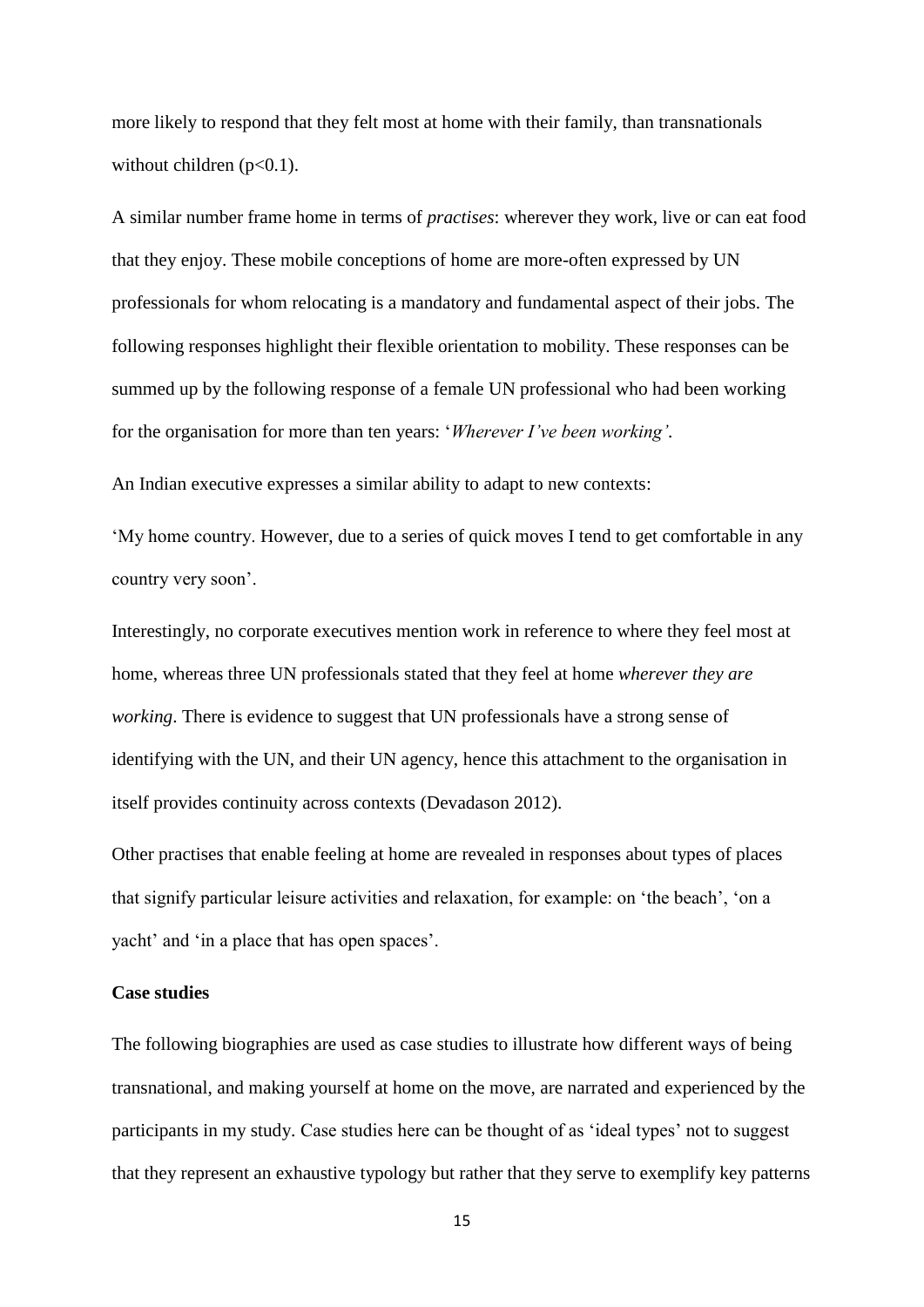more likely to respond that they felt most at home with their family, than transnationals without children  $(p<0.1)$ .

A similar number frame home in terms of *practises*: wherever they work, live or can eat food that they enjoy. These mobile conceptions of home are more-often expressed by UN professionals for whom relocating is a mandatory and fundamental aspect of their jobs. The following responses highlight their flexible orientation to mobility. These responses can be summed up by the following response of a female UN professional who had been working for the organisation for more than ten years: '*Wherever I've been working'.*

An Indian executive expresses a similar ability to adapt to new contexts:

'My home country. However, due to a series of quick moves I tend to get comfortable in any country very soon'.

Interestingly, no corporate executives mention work in reference to where they feel most at home, whereas three UN professionals stated that they feel at home *wherever they are working*. There is evidence to suggest that UN professionals have a strong sense of identifying with the UN, and their UN agency, hence this attachment to the organisation in itself provides continuity across contexts (Devadason 2012).

Other practises that enable feeling at home are revealed in responses about types of places that signify particular leisure activities and relaxation, for example: on 'the beach', 'on a yacht' and 'in a place that has open spaces'.

#### **Case studies**

The following biographies are used as case studies to illustrate how different ways of being transnational, and making yourself at home on the move, are narrated and experienced by the participants in my study. Case studies here can be thought of as 'ideal types' not to suggest that they represent an exhaustive typology but rather that they serve to exemplify key patterns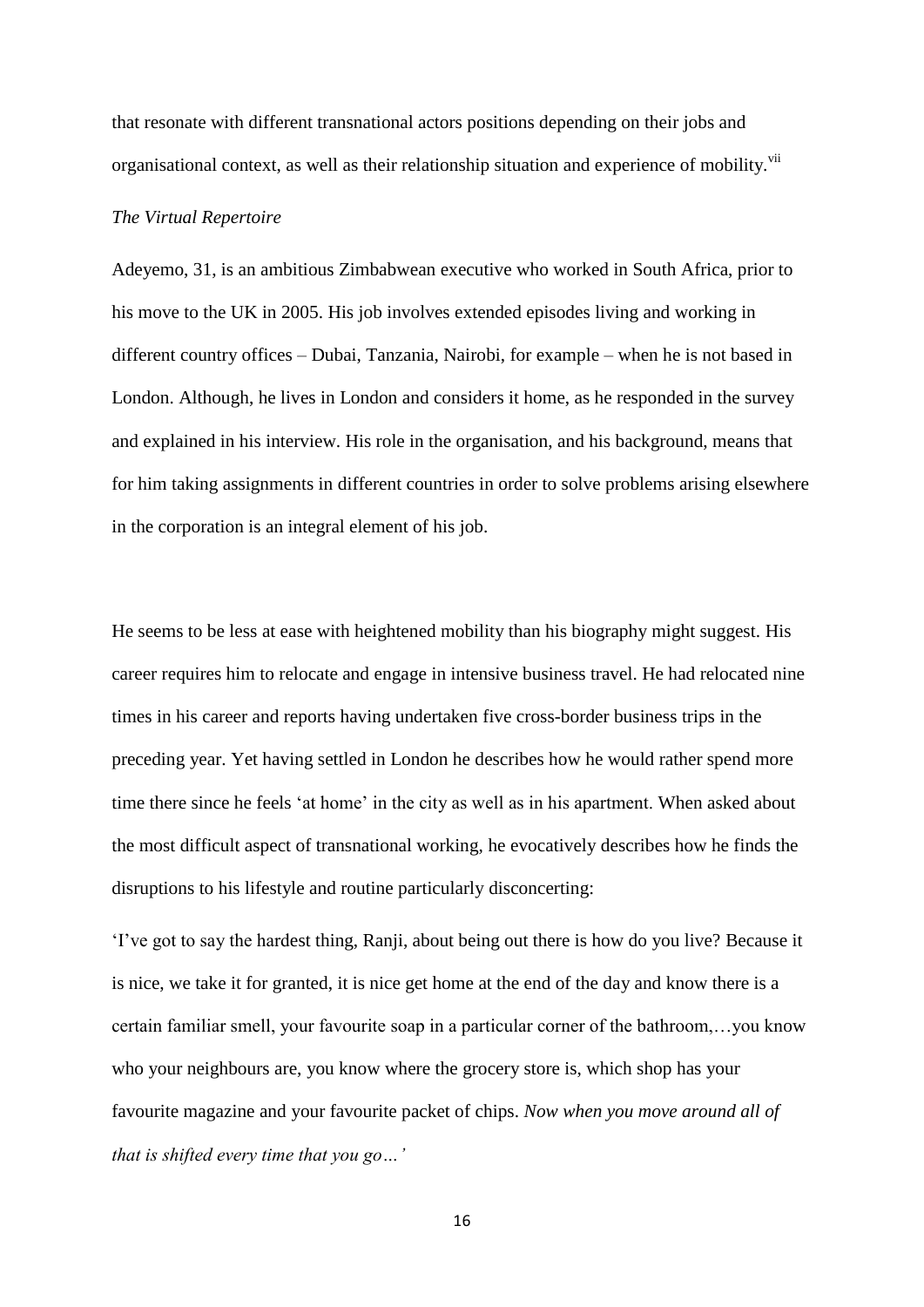that resonate with different transnational actors positions depending on their jobs and organisational context, as well as their relationship situation and experience of mobility.<sup>vii</sup>

#### *The Virtual Repertoire*

Adeyemo, 31, is an ambitious Zimbabwean executive who worked in South Africa, prior to his move to the UK in 2005. His job involves extended episodes living and working in different country offices – Dubai, Tanzania, Nairobi, for example – when he is not based in London. Although, he lives in London and considers it home, as he responded in the survey and explained in his interview. His role in the organisation, and his background, means that for him taking assignments in different countries in order to solve problems arising elsewhere in the corporation is an integral element of his job.

He seems to be less at ease with heightened mobility than his biography might suggest. His career requires him to relocate and engage in intensive business travel. He had relocated nine times in his career and reports having undertaken five cross-border business trips in the preceding year. Yet having settled in London he describes how he would rather spend more time there since he feels 'at home' in the city as well as in his apartment. When asked about the most difficult aspect of transnational working, he evocatively describes how he finds the disruptions to his lifestyle and routine particularly disconcerting:

'I've got to say the hardest thing, Ranji, about being out there is how do you live? Because it is nice, we take it for granted, it is nice get home at the end of the day and know there is a certain familiar smell, your favourite soap in a particular corner of the bathroom,…you know who your neighbours are, you know where the grocery store is, which shop has your favourite magazine and your favourite packet of chips. *Now when you move around all of that is shifted every time that you go…'*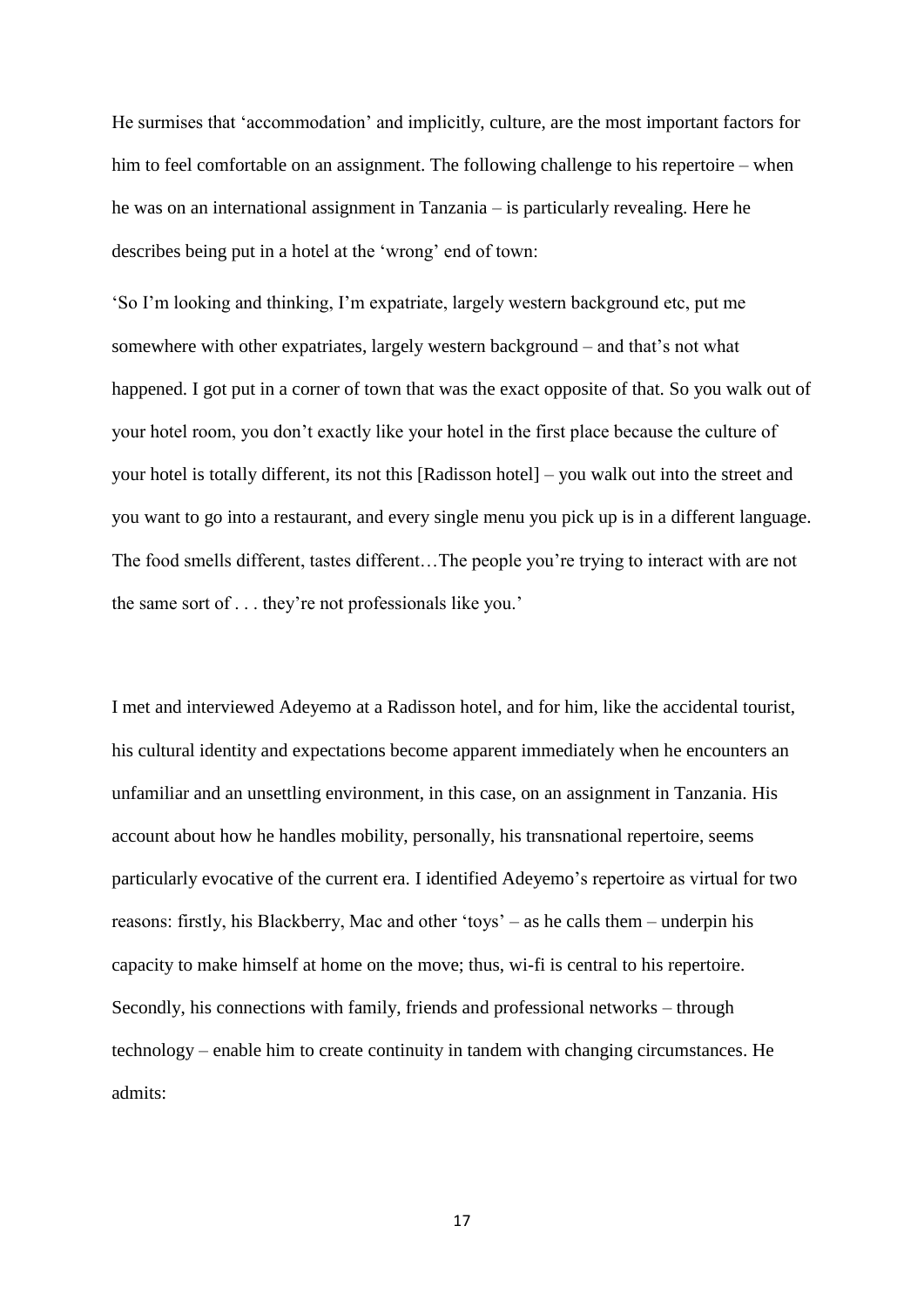He surmises that 'accommodation' and implicitly, culture, are the most important factors for him to feel comfortable on an assignment. The following challenge to his repertoire – when he was on an international assignment in Tanzania – is particularly revealing. Here he describes being put in a hotel at the 'wrong' end of town:

'So I'm looking and thinking, I'm expatriate, largely western background etc, put me somewhere with other expatriates, largely western background – and that's not what happened. I got put in a corner of town that was the exact opposite of that. So you walk out of your hotel room, you don't exactly like your hotel in the first place because the culture of your hotel is totally different, its not this [Radisson hotel] – you walk out into the street and you want to go into a restaurant, and every single menu you pick up is in a different language. The food smells different, tastes different…The people you're trying to interact with are not the same sort of . . . they're not professionals like you.'

I met and interviewed Adeyemo at a Radisson hotel, and for him, like the accidental tourist, his cultural identity and expectations become apparent immediately when he encounters an unfamiliar and an unsettling environment, in this case, on an assignment in Tanzania. His account about how he handles mobility, personally, his transnational repertoire, seems particularly evocative of the current era. I identified Adeyemo's repertoire as virtual for two reasons: firstly, his Blackberry, Mac and other 'toys' – as he calls them – underpin his capacity to make himself at home on the move; thus, wi-fi is central to his repertoire. Secondly, his connections with family, friends and professional networks – through technology – enable him to create continuity in tandem with changing circumstances. He admits: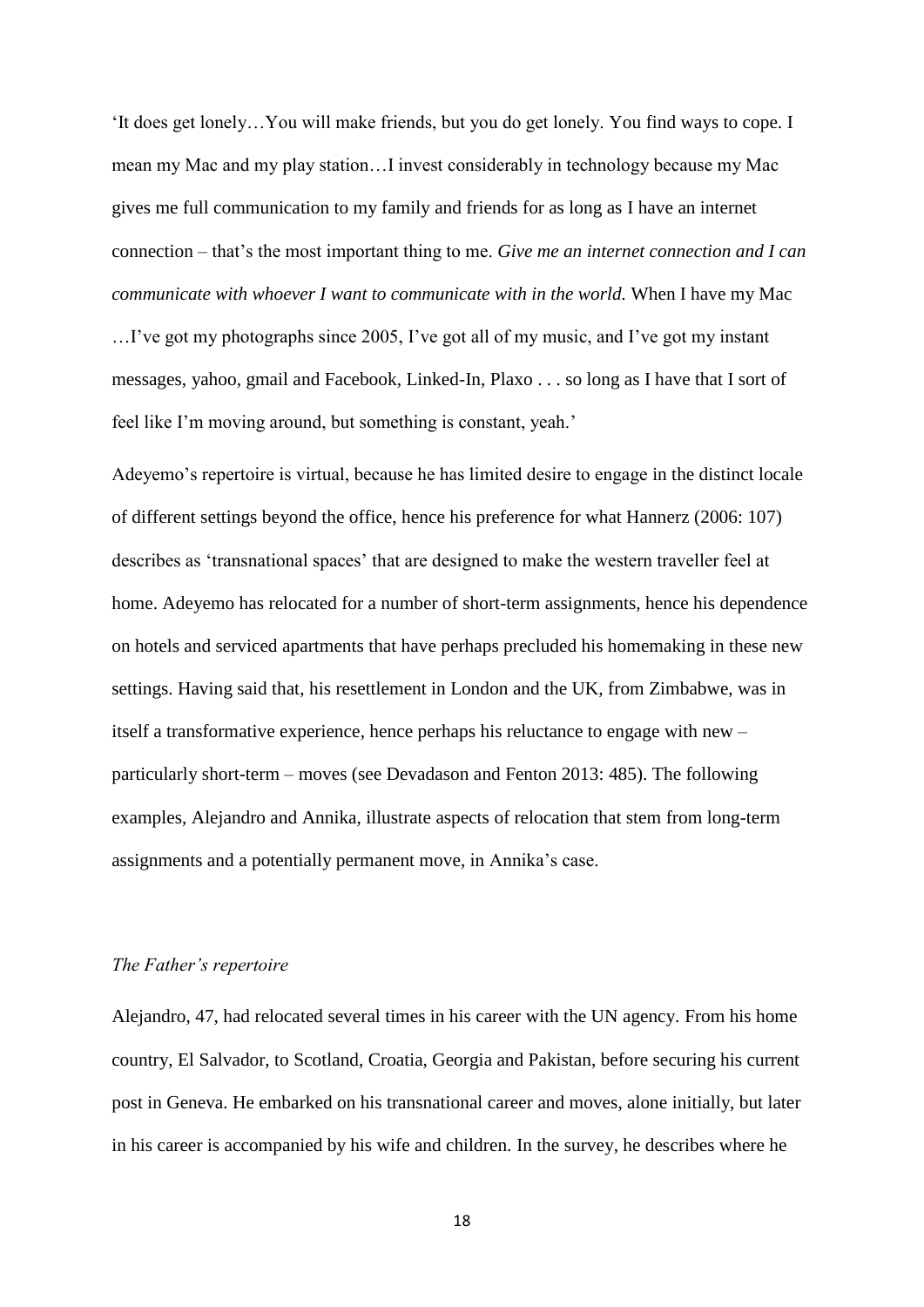'It does get lonely…You will make friends, but you do get lonely. You find ways to cope. I mean my Mac and my play station…I invest considerably in technology because my Mac gives me full communication to my family and friends for as long as I have an internet connection – that's the most important thing to me. *Give me an internet connection and I can communicate with whoever I want to communicate with in the world.* When I have my Mac

…I've got my photographs since 2005, I've got all of my music, and I've got my instant messages, yahoo, gmail and Facebook, Linked-In, Plaxo . . . so long as I have that I sort of feel like I'm moving around, but something is constant, yeah.'

Adeyemo's repertoire is virtual, because he has limited desire to engage in the distinct locale of different settings beyond the office, hence his preference for what Hannerz (2006: 107) describes as 'transnational spaces' that are designed to make the western traveller feel at home. Adeyemo has relocated for a number of short-term assignments, hence his dependence on hotels and serviced apartments that have perhaps precluded his homemaking in these new settings. Having said that, his resettlement in London and the UK, from Zimbabwe, was in itself a transformative experience, hence perhaps his reluctance to engage with new – particularly short-term – moves (see Devadason and Fenton 2013: 485). The following examples, Alejandro and Annika, illustrate aspects of relocation that stem from long-term assignments and a potentially permanent move, in Annika's case.

#### *The Father's repertoire*

Alejandro, 47, had relocated several times in his career with the UN agency. From his home country, El Salvador, to Scotland, Croatia, Georgia and Pakistan, before securing his current post in Geneva. He embarked on his transnational career and moves, alone initially, but later in his career is accompanied by his wife and children. In the survey, he describes where he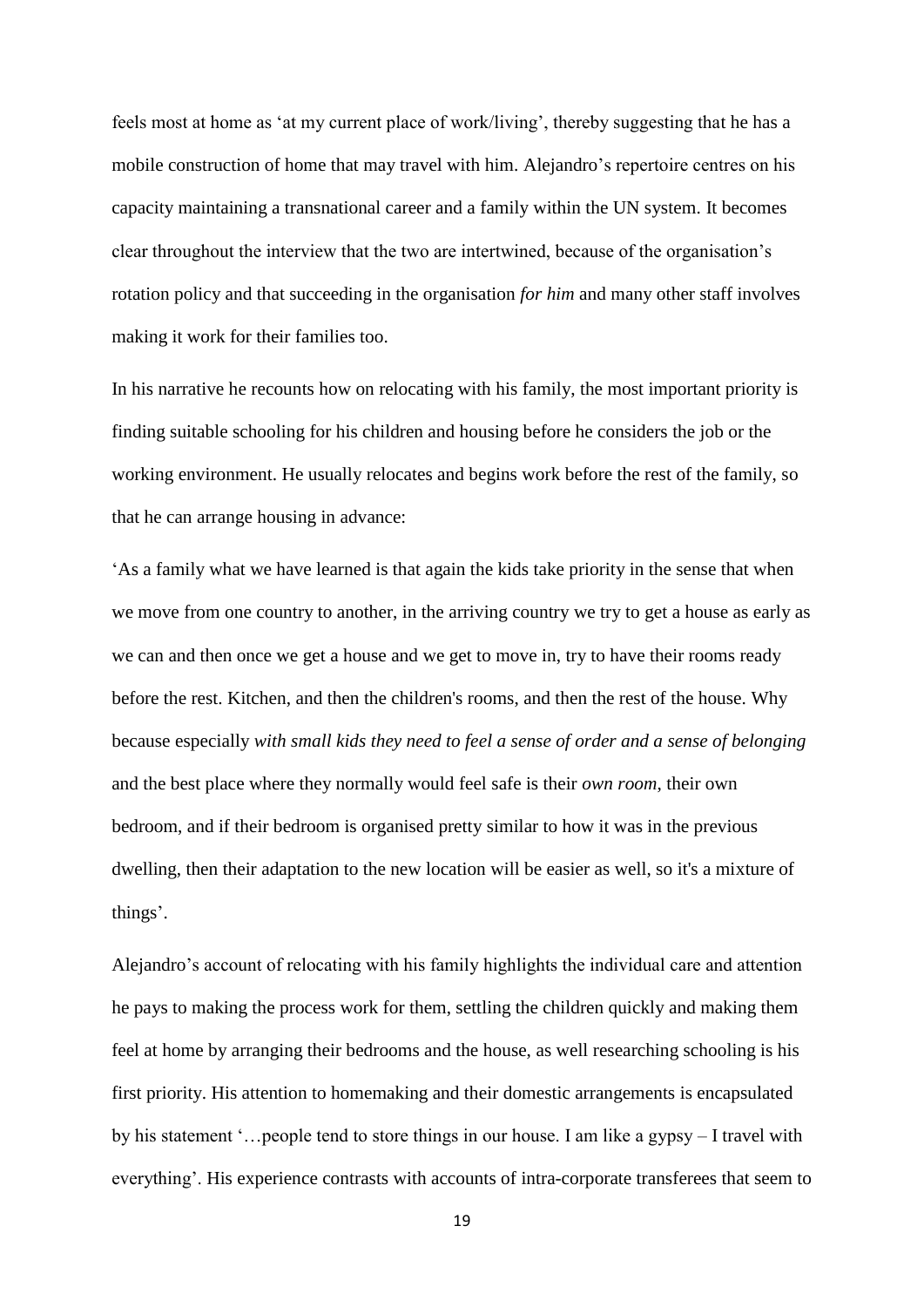feels most at home as 'at my current place of work/living', thereby suggesting that he has a mobile construction of home that may travel with him. Alejandro's repertoire centres on his capacity maintaining a transnational career and a family within the UN system. It becomes clear throughout the interview that the two are intertwined, because of the organisation's rotation policy and that succeeding in the organisation *for him* and many other staff involves making it work for their families too.

In his narrative he recounts how on relocating with his family, the most important priority is finding suitable schooling for his children and housing before he considers the job or the working environment. He usually relocates and begins work before the rest of the family, so that he can arrange housing in advance:

'As a family what we have learned is that again the kids take priority in the sense that when we move from one country to another, in the arriving country we try to get a house as early as we can and then once we get a house and we get to move in, try to have their rooms ready before the rest. Kitchen, and then the children's rooms, and then the rest of the house. Why because especially *with small kids they need to feel a sense of order and a sense of belonging*  and the best place where they normally would feel safe is their *own room*, their own bedroom, and if their bedroom is organised pretty similar to how it was in the previous dwelling, then their adaptation to the new location will be easier as well, so it's a mixture of things'.

Alejandro's account of relocating with his family highlights the individual care and attention he pays to making the process work for them, settling the children quickly and making them feel at home by arranging their bedrooms and the house, as well researching schooling is his first priority. His attention to homemaking and their domestic arrangements is encapsulated by his statement '…people tend to store things in our house. I am like a gypsy – I travel with everything'. His experience contrasts with accounts of intra-corporate transferees that seem to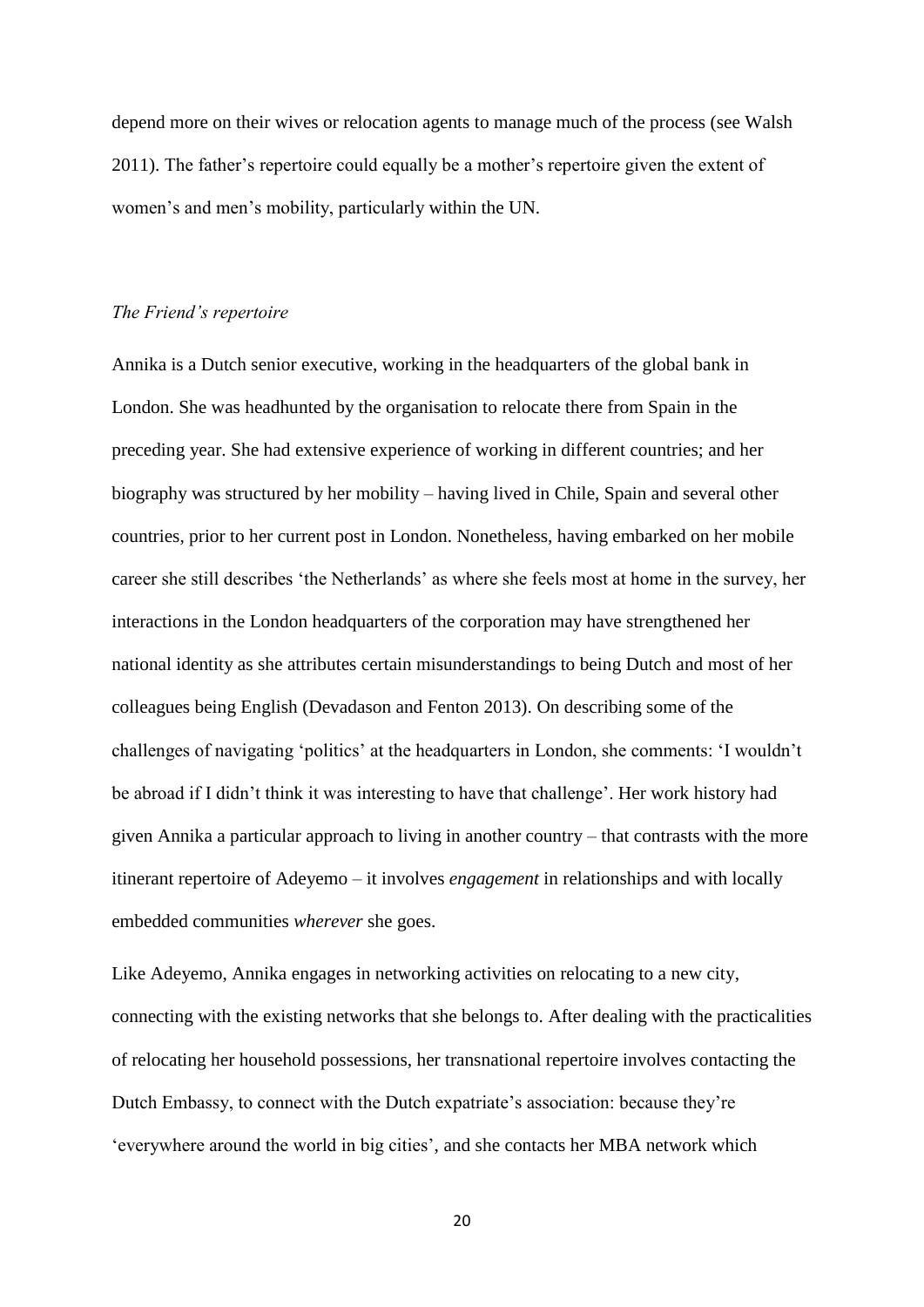depend more on their wives or relocation agents to manage much of the process (see Walsh 2011). The father's repertoire could equally be a mother's repertoire given the extent of women's and men's mobility, particularly within the UN.

#### *The Friend's repertoire*

Annika is a Dutch senior executive, working in the headquarters of the global bank in London. She was headhunted by the organisation to relocate there from Spain in the preceding year. She had extensive experience of working in different countries; and her biography was structured by her mobility – having lived in Chile, Spain and several other countries, prior to her current post in London. Nonetheless, having embarked on her mobile career she still describes 'the Netherlands' as where she feels most at home in the survey, her interactions in the London headquarters of the corporation may have strengthened her national identity as she attributes certain misunderstandings to being Dutch and most of her colleagues being English (Devadason and Fenton 2013). On describing some of the challenges of navigating 'politics' at the headquarters in London, she comments: 'I wouldn't be abroad if I didn't think it was interesting to have that challenge'. Her work history had given Annika a particular approach to living in another country – that contrasts with the more itinerant repertoire of Adeyemo – it involves *engagement* in relationships and with locally embedded communities *wherever* she goes.

Like Adeyemo, Annika engages in networking activities on relocating to a new city, connecting with the existing networks that she belongs to. After dealing with the practicalities of relocating her household possessions, her transnational repertoire involves contacting the Dutch Embassy, to connect with the Dutch expatriate's association: because they're 'everywhere around the world in big cities', and she contacts her MBA network which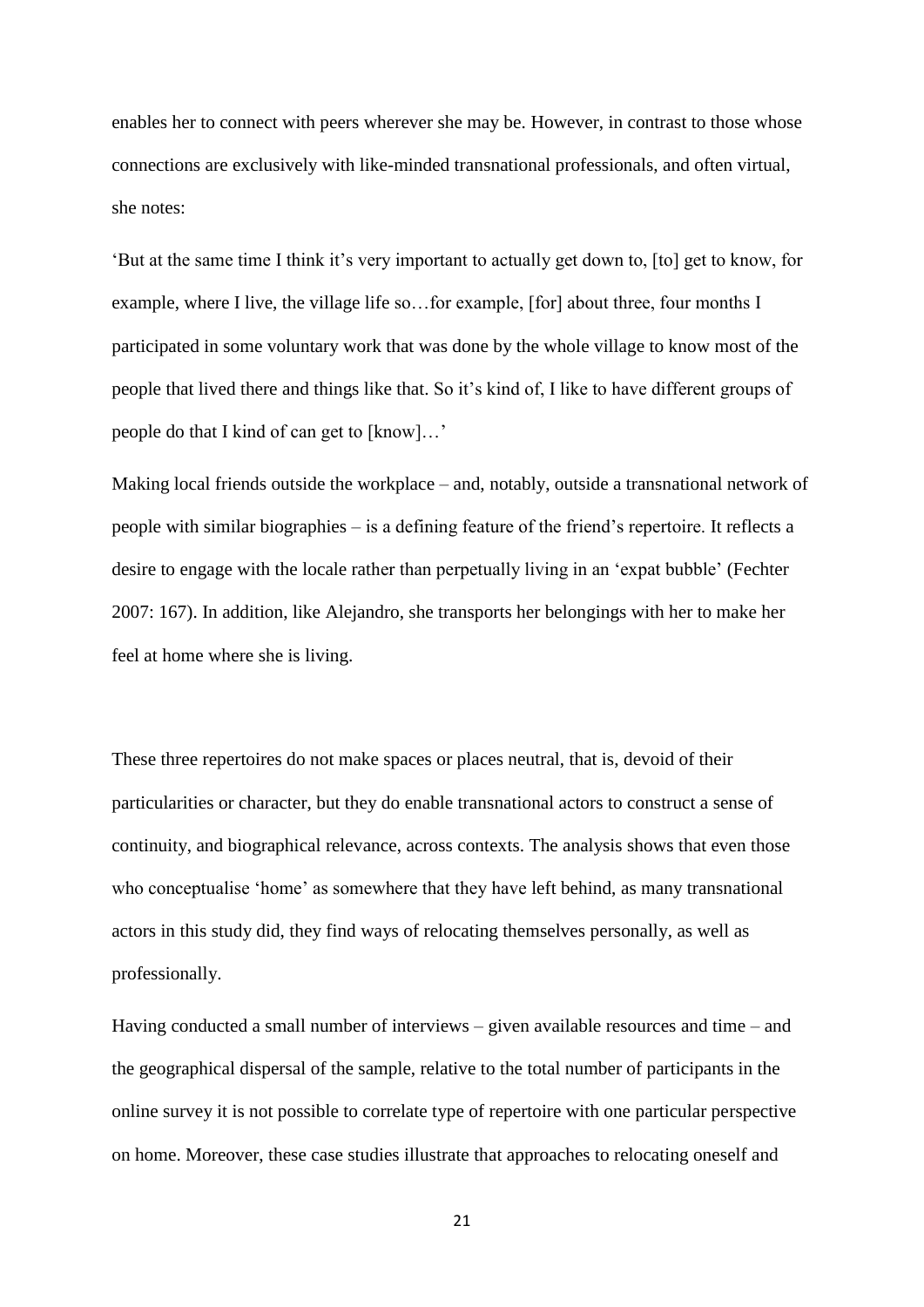enables her to connect with peers wherever she may be. However, in contrast to those whose connections are exclusively with like-minded transnational professionals, and often virtual, she notes:

'But at the same time I think it's very important to actually get down to, [to] get to know, for example, where I live, the village life so…for example, [for] about three, four months I participated in some voluntary work that was done by the whole village to know most of the people that lived there and things like that. So it's kind of, I like to have different groups of people do that I kind of can get to [know]…'

Making local friends outside the workplace – and, notably, outside a transnational network of people with similar biographies – is a defining feature of the friend's repertoire. It reflects a desire to engage with the locale rather than perpetually living in an 'expat bubble' (Fechter 2007: 167). In addition, like Alejandro, she transports her belongings with her to make her feel at home where she is living.

These three repertoires do not make spaces or places neutral, that is, devoid of their particularities or character, but they do enable transnational actors to construct a sense of continuity, and biographical relevance, across contexts. The analysis shows that even those who conceptualise 'home' as somewhere that they have left behind, as many transnational actors in this study did, they find ways of relocating themselves personally, as well as professionally.

Having conducted a small number of interviews – given available resources and time – and the geographical dispersal of the sample, relative to the total number of participants in the online survey it is not possible to correlate type of repertoire with one particular perspective on home. Moreover, these case studies illustrate that approaches to relocating oneself and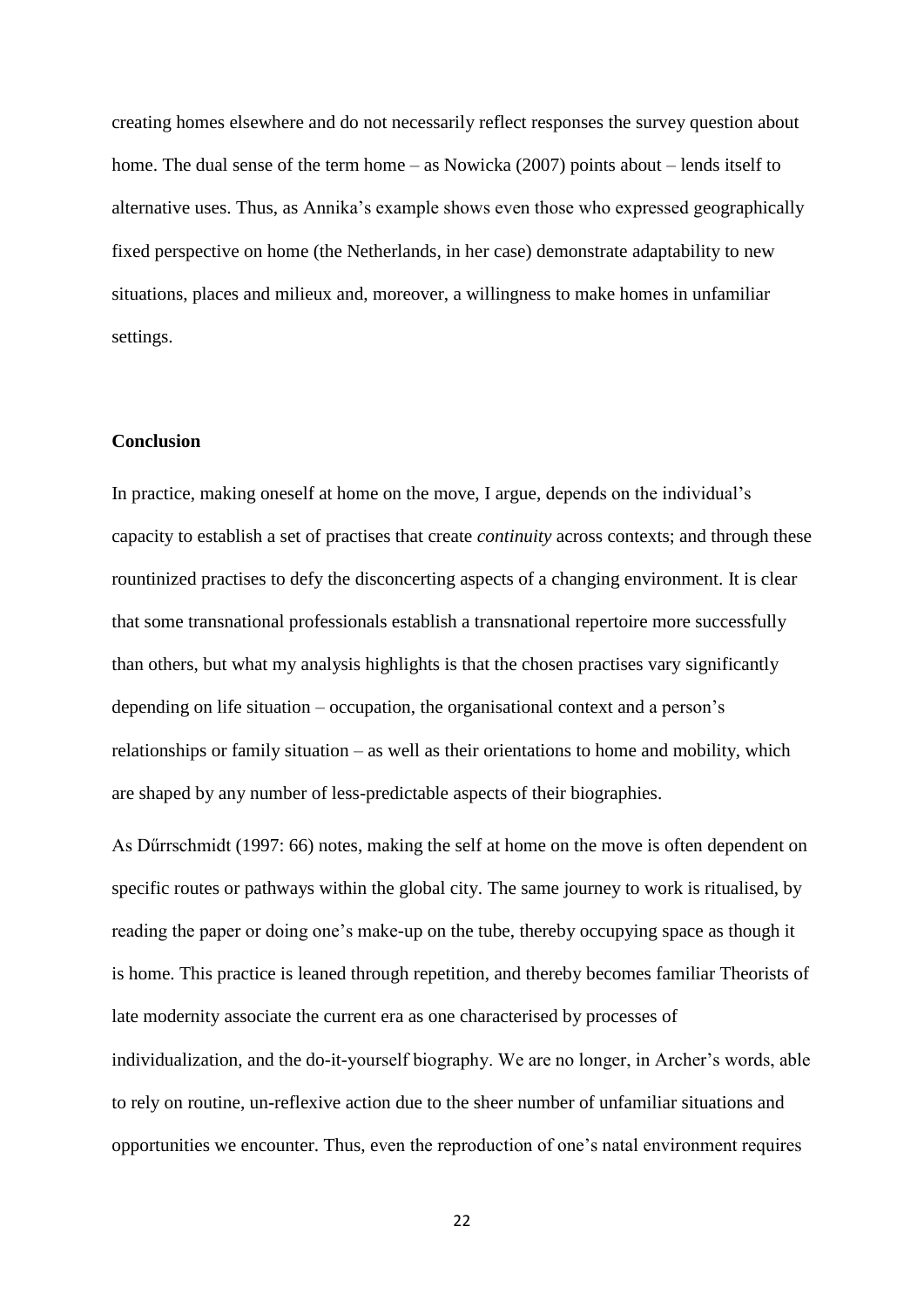creating homes elsewhere and do not necessarily reflect responses the survey question about home. The dual sense of the term home – as Nowicka (2007) points about – lends itself to alternative uses. Thus, as Annika's example shows even those who expressed geographically fixed perspective on home (the Netherlands, in her case) demonstrate adaptability to new situations, places and milieux and, moreover, a willingness to make homes in unfamiliar settings.

#### **Conclusion**

In practice, making oneself at home on the move, I argue, depends on the individual's capacity to establish a set of practises that create *continuity* across contexts; and through these rountinized practises to defy the disconcerting aspects of a changing environment. It is clear that some transnational professionals establish a transnational repertoire more successfully than others, but what my analysis highlights is that the chosen practises vary significantly depending on life situation – occupation, the organisational context and a person's relationships or family situation – as well as their orientations to home and mobility, which are shaped by any number of less-predictable aspects of their biographies.

As Dűrrschmidt (1997: 66) notes, making the self at home on the move is often dependent on specific routes or pathways within the global city. The same journey to work is ritualised, by reading the paper or doing one's make-up on the tube, thereby occupying space as though it is home. This practice is leaned through repetition, and thereby becomes familiar Theorists of late modernity associate the current era as one characterised by processes of individualization, and the do-it-yourself biography. We are no longer, in Archer's words, able to rely on routine, un-reflexive action due to the sheer number of unfamiliar situations and opportunities we encounter. Thus, even the reproduction of one's natal environment requires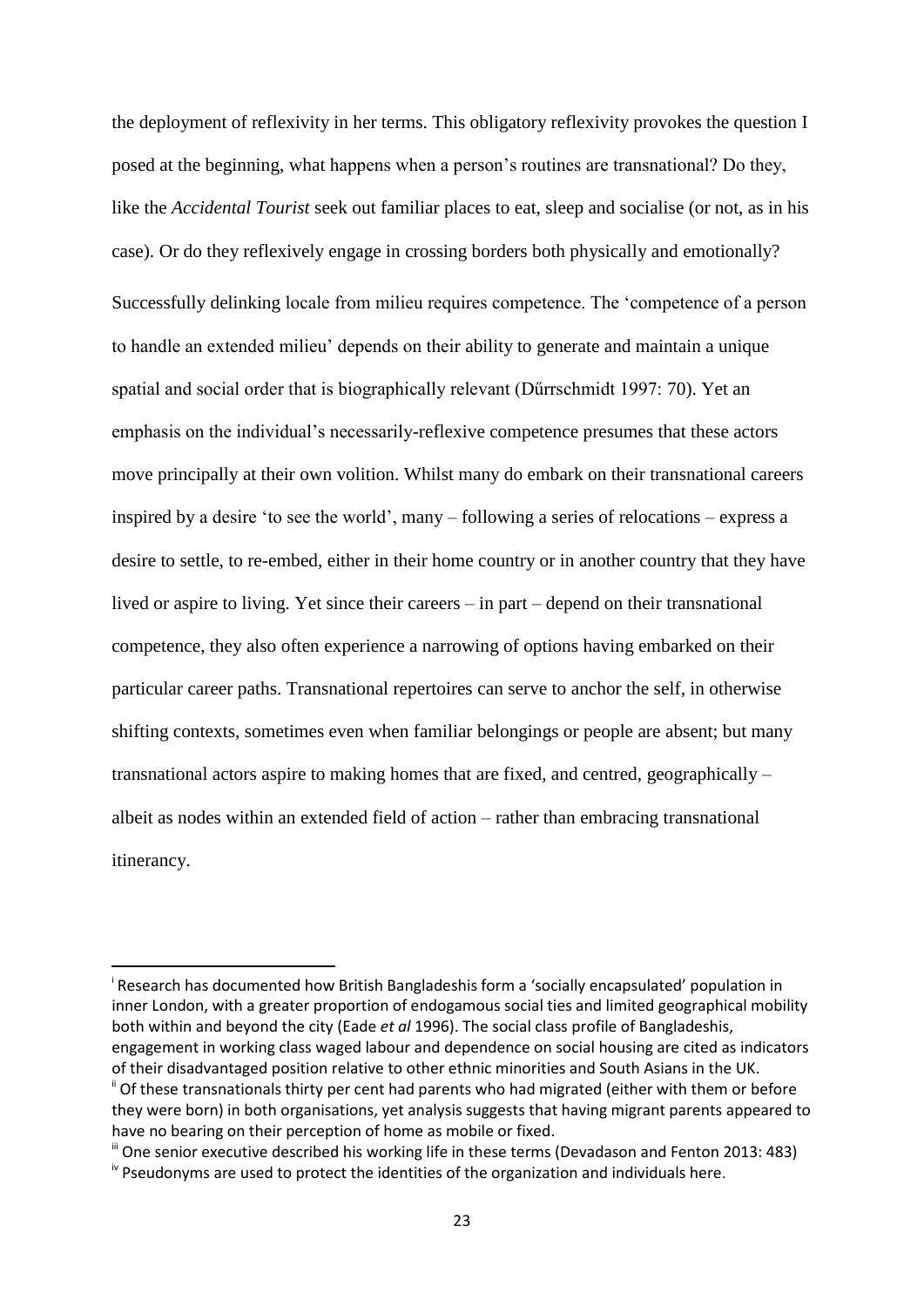the deployment of reflexivity in her terms. This obligatory reflexivity provokes the question I posed at the beginning, what happens when a person's routines are transnational? Do they, like the *Accidental Tourist* seek out familiar places to eat, sleep and socialise (or not, as in his case). Or do they reflexively engage in crossing borders both physically and emotionally? Successfully delinking locale from milieu requires competence. The 'competence of a person to handle an extended milieu' depends on their ability to generate and maintain a unique spatial and social order that is biographically relevant (Dűrrschmidt 1997: 70). Yet an emphasis on the individual's necessarily-reflexive competence presumes that these actors move principally at their own volition. Whilst many do embark on their transnational careers inspired by a desire 'to see the world', many – following a series of relocations – express a desire to settle, to re-embed, either in their home country or in another country that they have lived or aspire to living. Yet since their careers – in part – depend on their transnational competence, they also often experience a narrowing of options having embarked on their particular career paths. Transnational repertoires can serve to anchor the self, in otherwise shifting contexts, sometimes even when familiar belongings or people are absent; but many transnational actors aspire to making homes that are fixed, and centred, geographically – albeit as nodes within an extended field of action – rather than embracing transnational itinerancy.

i Research has documented how British Bangladeshis form a 'socially encapsulated' population in inner London, with a greater proportion of endogamous social ties and limited geographical mobility both within and beyond the city (Eade *et al* 1996). The social class profile of Bangladeshis, engagement in working class waged labour and dependence on social housing are cited as indicators of their disadvantaged position relative to other ethnic minorities and South Asians in the UK. " Of these transnationals thirty per cent had parents who had migrated (either with them or before they were born) in both organisations, yet analysis suggests that having migrant parents appeared to have no bearing on their perception of home as mobile or fixed.

iii One senior executive described his working life in these terms (Devadason and Fenton 2013: 483)  $\mu$ <sup>N</sup> Pseudonyms are used to protect the identities of the organization and individuals here.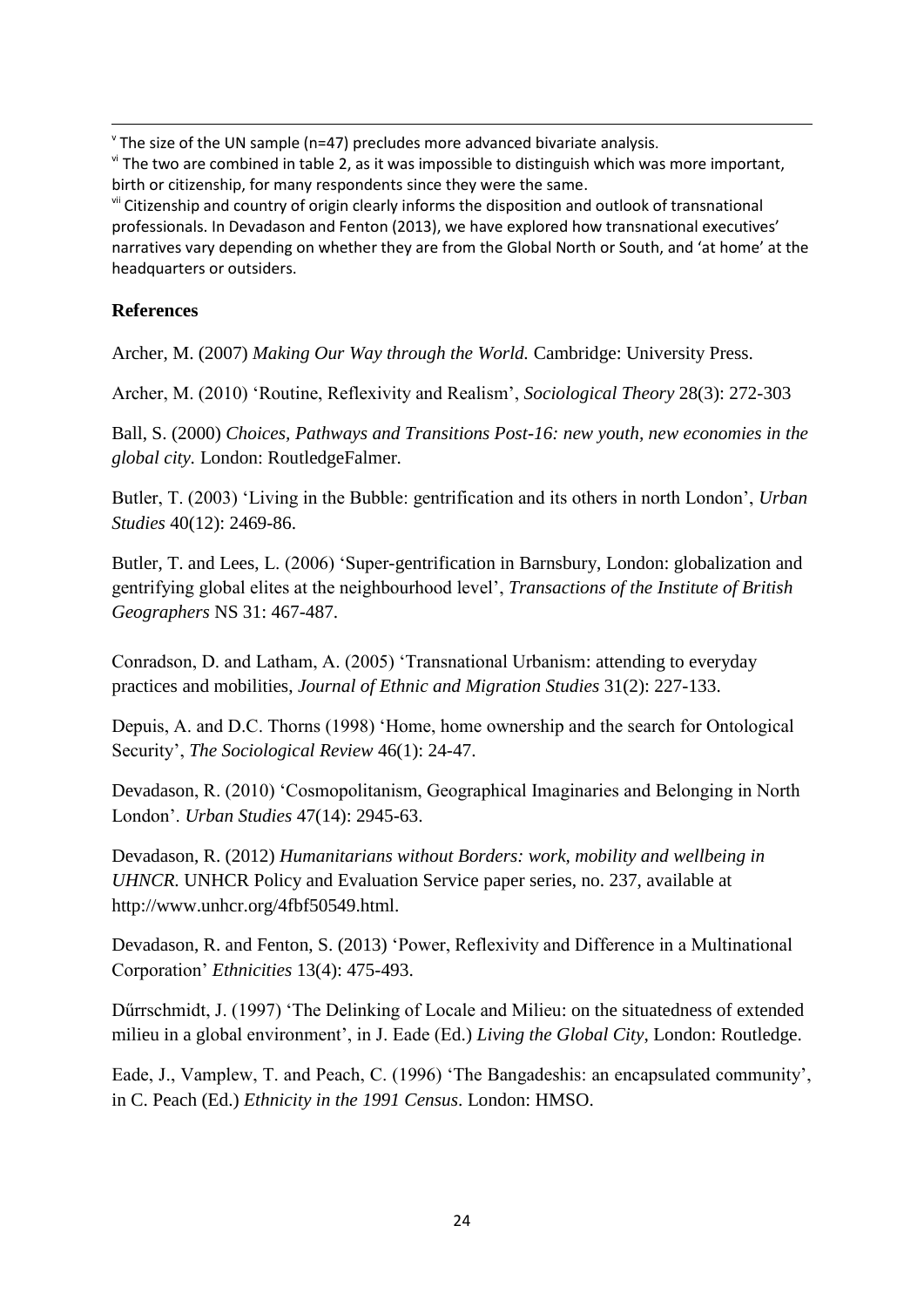$\text{"The size of the UN sample (n=47) precludes more advanced bivariate analysis.}$ 

 $\theta$ <sup>i</sup> The two are combined in table 2, as it was impossible to distinguish which was more important, birth or citizenship, for many respondents since they were the same.

vii Citizenship and country of origin clearly informs the disposition and outlook of transnational professionals. In Devadason and Fenton (2013), we have explored how transnational executives' narratives vary depending on whether they are from the Global North or South, and 'at home' at the headquarters or outsiders.

## **References**

1

Archer, M. (2007) *Making Our Way through the World.* Cambridge: University Press.

Archer, M. (2010) 'Routine, Reflexivity and Realism', *Sociological Theory* 28(3): 272-303

Ball, S. (2000) *Choices, Pathways and Transitions Post-16: new youth, new economies in the global city.* London: RoutledgeFalmer*.*

Butler, T. (2003) 'Living in the Bubble: gentrification and its others in north London', *Urban Studies* 40(12): 2469-86.

Butler, T. and Lees, L. (2006) 'Super-gentrification in Barnsbury, London: globalization and gentrifying global elites at the neighbourhood level', *Transactions of the Institute of British Geographers* NS 31: 467-487.

Conradson, D. and Latham, A. (2005) 'Transnational Urbanism: attending to everyday practices and mobilities, *Journal of Ethnic and Migration Studies* 31(2): 227-133.

Depuis, A. and D.C. Thorns (1998) 'Home, home ownership and the search for Ontological Security', *The Sociological Review* 46(1): 24-47.

Devadason, R. (2010) 'Cosmopolitanism, Geographical Imaginaries and Belonging in North London'. *Urban Studies* 47(14): 2945-63.

Devadason, R. (2012) *Humanitarians without Borders: work, mobility and wellbeing in UHNCR.* UNHCR Policy and Evaluation Service paper series, no. 237, available at http://www.unhcr.org/4fbf50549.html.

Devadason, R. and Fenton, S. (2013) 'Power, Reflexivity and Difference in a Multinational Corporation' *Ethnicities* 13(4): 475-493.

Dűrrschmidt, J. (1997) 'The Delinking of Locale and Milieu: on the situatedness of extended milieu in a global environment', in J. Eade (Ed.) *Living the Global City*, London: Routledge.

Eade, J., Vamplew, T. and Peach, C. (1996) 'The Bangadeshis: an encapsulated community', in C. Peach (Ed.) *Ethnicity in the 1991 Census*. London: HMSO.